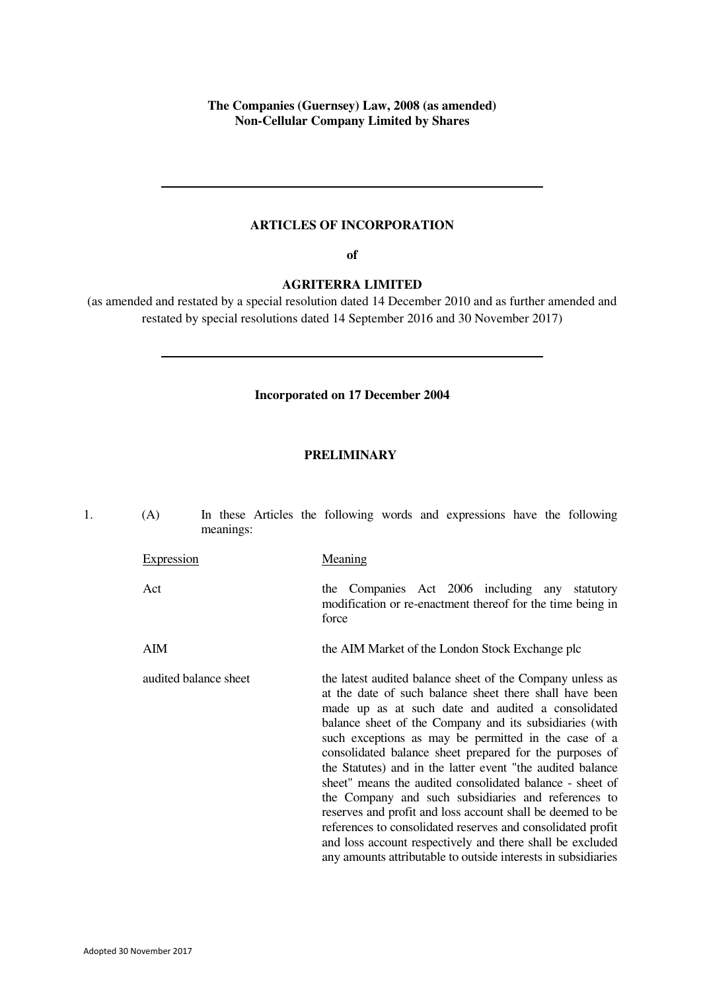**The Companies (Guernsey) Law, 2008 (as amended) Non-Cellular Company Limited by Shares** 

# **ARTICLES OF INCORPORATION**

**of**

**AGRITERRA LIMITED** 

(as amended and restated by a special resolution dated 14 December 2010 and as further amended and restated by special resolutions dated 14 September 2016 and 30 November 2017)

# **Incorporated on 17 December 2004**

# **PRELIMINARY**

<span id="page-0-0"></span>

| 1. | (A)               | meanings:             | In these Articles the following words and expressions have the following                                                                                                                                                                                                                                                                                                                                                                                                                                                                                                                                                                                                                                                                                                                             |  |  |           |
|----|-------------------|-----------------------|------------------------------------------------------------------------------------------------------------------------------------------------------------------------------------------------------------------------------------------------------------------------------------------------------------------------------------------------------------------------------------------------------------------------------------------------------------------------------------------------------------------------------------------------------------------------------------------------------------------------------------------------------------------------------------------------------------------------------------------------------------------------------------------------------|--|--|-----------|
|    | <b>Expression</b> |                       | Meaning                                                                                                                                                                                                                                                                                                                                                                                                                                                                                                                                                                                                                                                                                                                                                                                              |  |  |           |
|    | Act               |                       | the Companies Act 2006 including any<br>modification or re-enactment thereof for the time being in<br>force                                                                                                                                                                                                                                                                                                                                                                                                                                                                                                                                                                                                                                                                                          |  |  | statutory |
|    | <b>AIM</b>        |                       | the AIM Market of the London Stock Exchange plc                                                                                                                                                                                                                                                                                                                                                                                                                                                                                                                                                                                                                                                                                                                                                      |  |  |           |
|    |                   | audited balance sheet | the latest audited balance sheet of the Company unless as<br>at the date of such balance sheet there shall have been<br>made up as at such date and audited a consolidated<br>balance sheet of the Company and its subsidiaries (with<br>such exceptions as may be permitted in the case of a<br>consolidated balance sheet prepared for the purposes of<br>the Statutes) and in the latter event "the audited balance<br>sheet" means the audited consolidated balance - sheet of<br>the Company and such subsidiaries and references to<br>reserves and profit and loss account shall be deemed to be<br>references to consolidated reserves and consolidated profit<br>and loss account respectively and there shall be excluded<br>any amounts attributable to outside interests in subsidiaries |  |  |           |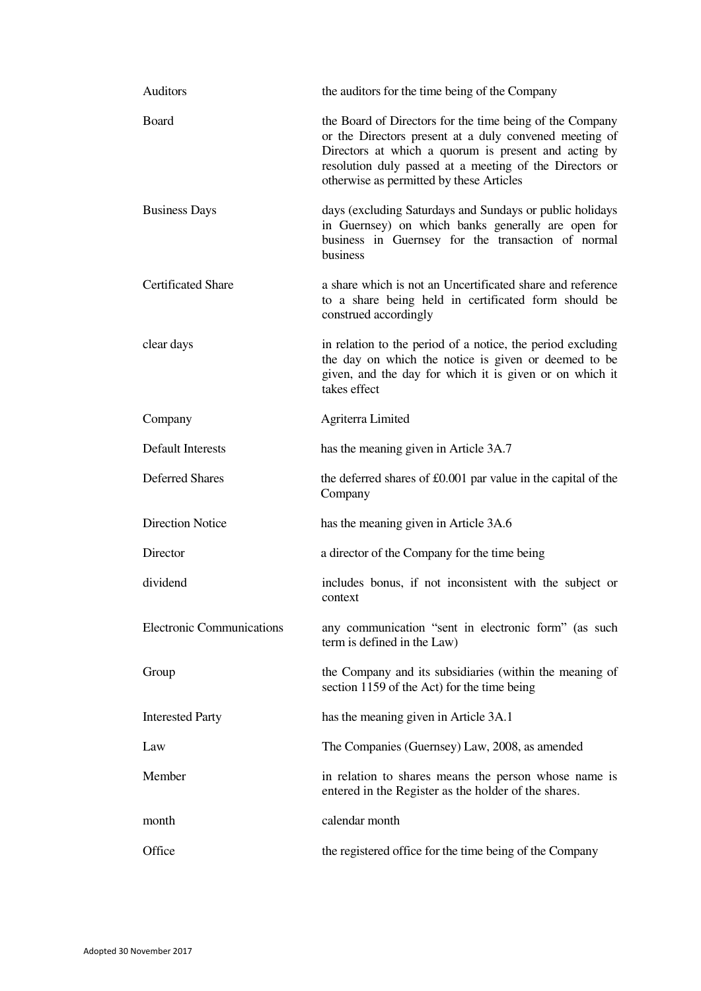| Auditors                         | the auditors for the time being of the Company                                                                                                                                                                                                                                    |
|----------------------------------|-----------------------------------------------------------------------------------------------------------------------------------------------------------------------------------------------------------------------------------------------------------------------------------|
| Board                            | the Board of Directors for the time being of the Company<br>or the Directors present at a duly convened meeting of<br>Directors at which a quorum is present and acting by<br>resolution duly passed at a meeting of the Directors or<br>otherwise as permitted by these Articles |
| <b>Business Days</b>             | days (excluding Saturdays and Sundays or public holidays<br>in Guernsey) on which banks generally are open for<br>business in Guernsey for the transaction of normal<br>business                                                                                                  |
| <b>Certificated Share</b>        | a share which is not an Uncertificated share and reference<br>to a share being held in certificated form should be<br>construed accordingly                                                                                                                                       |
| clear days                       | in relation to the period of a notice, the period excluding<br>the day on which the notice is given or deemed to be<br>given, and the day for which it is given or on which it<br>takes effect                                                                                    |
| Company                          | Agriterra Limited                                                                                                                                                                                                                                                                 |
| <b>Default Interests</b>         | has the meaning given in Article 3A.7                                                                                                                                                                                                                                             |
| <b>Deferred Shares</b>           | the deferred shares of £0.001 par value in the capital of the<br>Company                                                                                                                                                                                                          |
| <b>Direction Notice</b>          | has the meaning given in Article 3A.6                                                                                                                                                                                                                                             |
| Director                         | a director of the Company for the time being                                                                                                                                                                                                                                      |
| dividend                         | includes bonus, if not inconsistent with the subject or<br>context                                                                                                                                                                                                                |
| <b>Electronic Communications</b> | any communication "sent in electronic form" (as such<br>term is defined in the Law)                                                                                                                                                                                               |
| Group                            | the Company and its subsidiaries (within the meaning of<br>section 1159 of the Act) for the time being                                                                                                                                                                            |
| <b>Interested Party</b>          | has the meaning given in Article 3A.1                                                                                                                                                                                                                                             |
| Law                              | The Companies (Guernsey) Law, 2008, as amended                                                                                                                                                                                                                                    |
| Member                           | in relation to shares means the person whose name is<br>entered in the Register as the holder of the shares.                                                                                                                                                                      |
| month                            | calendar month                                                                                                                                                                                                                                                                    |
| Office                           | the registered office for the time being of the Company                                                                                                                                                                                                                           |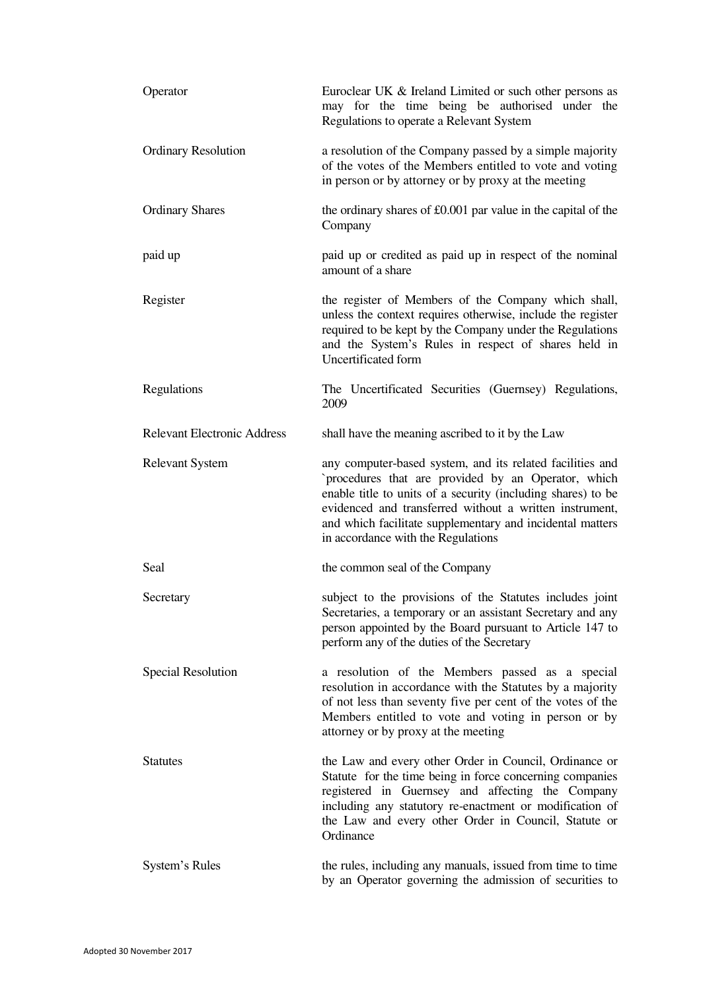| Operator                           | Euroclear UK & Ireland Limited or such other persons as<br>may for the time being be authorised under the<br>Regulations to operate a Relevant System                                                                                                                                                                                          |
|------------------------------------|------------------------------------------------------------------------------------------------------------------------------------------------------------------------------------------------------------------------------------------------------------------------------------------------------------------------------------------------|
| <b>Ordinary Resolution</b>         | a resolution of the Company passed by a simple majority<br>of the votes of the Members entitled to vote and voting<br>in person or by attorney or by proxy at the meeting                                                                                                                                                                      |
| <b>Ordinary Shares</b>             | the ordinary shares of £0.001 par value in the capital of the<br>Company                                                                                                                                                                                                                                                                       |
| paid up                            | paid up or credited as paid up in respect of the nominal<br>amount of a share                                                                                                                                                                                                                                                                  |
| Register                           | the register of Members of the Company which shall,<br>unless the context requires otherwise, include the register<br>required to be kept by the Company under the Regulations<br>and the System's Rules in respect of shares held in<br>Uncertificated form                                                                                   |
| Regulations                        | The Uncertificated Securities (Guernsey) Regulations,<br>2009                                                                                                                                                                                                                                                                                  |
| <b>Relevant Electronic Address</b> | shall have the meaning ascribed to it by the Law                                                                                                                                                                                                                                                                                               |
| <b>Relevant System</b>             | any computer-based system, and its related facilities and<br>`procedures that are provided by an Operator, which<br>enable title to units of a security (including shares) to be<br>evidenced and transferred without a written instrument,<br>and which facilitate supplementary and incidental matters<br>in accordance with the Regulations |
| Seal                               | the common seal of the Company                                                                                                                                                                                                                                                                                                                 |
| Secretary                          | subject to the provisions of the Statutes includes joint<br>Secretaries, a temporary or an assistant Secretary and any<br>person appointed by the Board pursuant to Article 147 to<br>perform any of the duties of the Secretary                                                                                                               |
| Special Resolution                 | a resolution of the Members passed as a special<br>resolution in accordance with the Statutes by a majority<br>of not less than seventy five per cent of the votes of the<br>Members entitled to vote and voting in person or by<br>attorney or by proxy at the meeting                                                                        |
| <b>Statutes</b>                    | the Law and every other Order in Council, Ordinance or<br>Statute for the time being in force concerning companies<br>registered in Guernsey and affecting the Company<br>including any statutory re-enactment or modification of<br>the Law and every other Order in Council, Statute or<br>Ordinance                                         |
| System's Rules                     | the rules, including any manuals, issued from time to time<br>by an Operator governing the admission of securities to                                                                                                                                                                                                                          |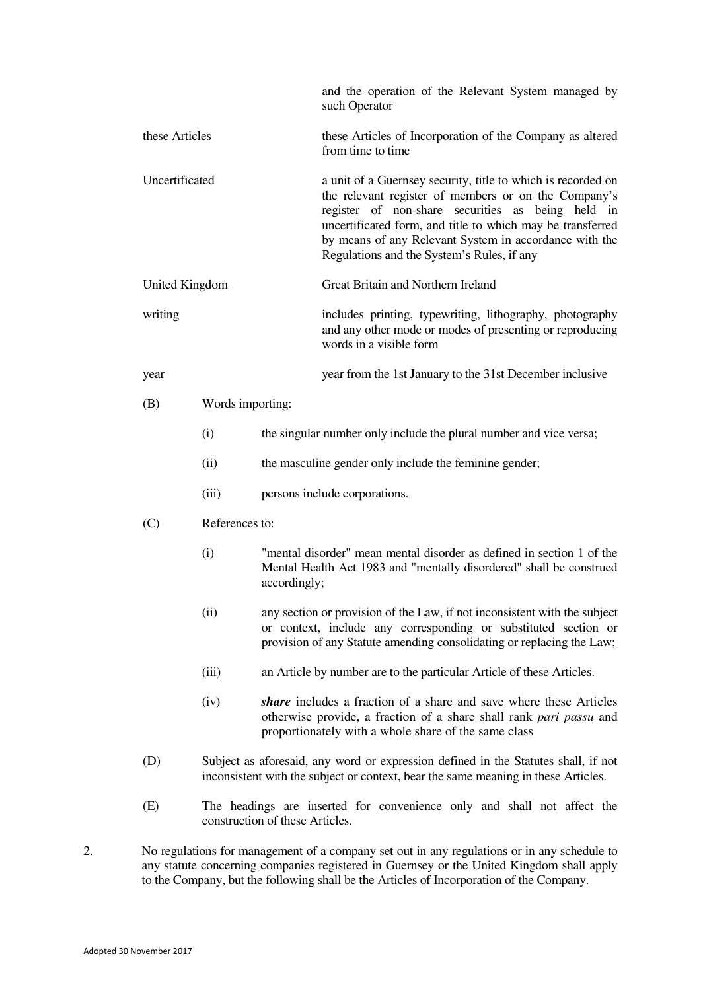| and the operation of the Relevant System managed by<br>such Operator<br>these Articles<br>these Articles of Incorporation of the Company as altered<br>from time to time<br>Uncertificated<br>a unit of a Guernsey security, title to which is recorded on<br>the relevant register of members or on the Company's<br>register of non-share securities as being held in<br>uncertificated form, and title to which may be transferred<br>by means of any Relevant System in accordance with the<br>Regulations and the System's Rules, if any<br>Great Britain and Northern Ireland<br><b>United Kingdom</b><br>writing<br>includes printing, typewriting, lithography, photography<br>and any other mode or modes of presenting or reproducing<br>words in a visible form<br>year from the 1st January to the 31st December inclusive<br>year<br>Words importing:<br>(B)<br>(i)<br>the singular number only include the plural number and vice versa;<br>the masculine gender only include the feminine gender;<br>(ii)<br>(iii)<br>persons include corporations.<br>(C)<br>References to:<br>"mental disorder" mean mental disorder as defined in section 1 of the<br>(i)<br>Mental Health Act 1983 and "mentally disordered" shall be construed<br>accordingly;<br>(ii)<br>any section or provision of the Law, if not inconsistent with the subject<br>or context, include any corresponding or substituted section or<br>provision of any Statute amending consolidating or replacing the Law;<br>an Article by number are to the particular Article of these Articles.<br>(iii)<br>share includes a fraction of a share and save where these Articles<br>(iv)<br>otherwise provide, a fraction of a share shall rank pari passu and<br>proportionately with a whole share of the same class<br>(D)<br>Subject as aforesaid, any word or expression defined in the Statutes shall, if not<br>inconsistent with the subject or context, bear the same meaning in these Articles.<br>(E)<br>The headings are inserted for convenience only and shall not affect the<br>construction of these Articles. |  |  |  |  |  |  |  |  |
|-----------------------------------------------------------------------------------------------------------------------------------------------------------------------------------------------------------------------------------------------------------------------------------------------------------------------------------------------------------------------------------------------------------------------------------------------------------------------------------------------------------------------------------------------------------------------------------------------------------------------------------------------------------------------------------------------------------------------------------------------------------------------------------------------------------------------------------------------------------------------------------------------------------------------------------------------------------------------------------------------------------------------------------------------------------------------------------------------------------------------------------------------------------------------------------------------------------------------------------------------------------------------------------------------------------------------------------------------------------------------------------------------------------------------------------------------------------------------------------------------------------------------------------------------------------------------------------------------------------------------------------------------------------------------------------------------------------------------------------------------------------------------------------------------------------------------------------------------------------------------------------------------------------------------------------------------------------------------------------------------------------------------------------------------------------------------------------------------------------|--|--|--|--|--|--|--|--|
|                                                                                                                                                                                                                                                                                                                                                                                                                                                                                                                                                                                                                                                                                                                                                                                                                                                                                                                                                                                                                                                                                                                                                                                                                                                                                                                                                                                                                                                                                                                                                                                                                                                                                                                                                                                                                                                                                                                                                                                                                                                                                                           |  |  |  |  |  |  |  |  |
|                                                                                                                                                                                                                                                                                                                                                                                                                                                                                                                                                                                                                                                                                                                                                                                                                                                                                                                                                                                                                                                                                                                                                                                                                                                                                                                                                                                                                                                                                                                                                                                                                                                                                                                                                                                                                                                                                                                                                                                                                                                                                                           |  |  |  |  |  |  |  |  |
|                                                                                                                                                                                                                                                                                                                                                                                                                                                                                                                                                                                                                                                                                                                                                                                                                                                                                                                                                                                                                                                                                                                                                                                                                                                                                                                                                                                                                                                                                                                                                                                                                                                                                                                                                                                                                                                                                                                                                                                                                                                                                                           |  |  |  |  |  |  |  |  |
|                                                                                                                                                                                                                                                                                                                                                                                                                                                                                                                                                                                                                                                                                                                                                                                                                                                                                                                                                                                                                                                                                                                                                                                                                                                                                                                                                                                                                                                                                                                                                                                                                                                                                                                                                                                                                                                                                                                                                                                                                                                                                                           |  |  |  |  |  |  |  |  |
|                                                                                                                                                                                                                                                                                                                                                                                                                                                                                                                                                                                                                                                                                                                                                                                                                                                                                                                                                                                                                                                                                                                                                                                                                                                                                                                                                                                                                                                                                                                                                                                                                                                                                                                                                                                                                                                                                                                                                                                                                                                                                                           |  |  |  |  |  |  |  |  |
|                                                                                                                                                                                                                                                                                                                                                                                                                                                                                                                                                                                                                                                                                                                                                                                                                                                                                                                                                                                                                                                                                                                                                                                                                                                                                                                                                                                                                                                                                                                                                                                                                                                                                                                                                                                                                                                                                                                                                                                                                                                                                                           |  |  |  |  |  |  |  |  |
|                                                                                                                                                                                                                                                                                                                                                                                                                                                                                                                                                                                                                                                                                                                                                                                                                                                                                                                                                                                                                                                                                                                                                                                                                                                                                                                                                                                                                                                                                                                                                                                                                                                                                                                                                                                                                                                                                                                                                                                                                                                                                                           |  |  |  |  |  |  |  |  |
|                                                                                                                                                                                                                                                                                                                                                                                                                                                                                                                                                                                                                                                                                                                                                                                                                                                                                                                                                                                                                                                                                                                                                                                                                                                                                                                                                                                                                                                                                                                                                                                                                                                                                                                                                                                                                                                                                                                                                                                                                                                                                                           |  |  |  |  |  |  |  |  |
|                                                                                                                                                                                                                                                                                                                                                                                                                                                                                                                                                                                                                                                                                                                                                                                                                                                                                                                                                                                                                                                                                                                                                                                                                                                                                                                                                                                                                                                                                                                                                                                                                                                                                                                                                                                                                                                                                                                                                                                                                                                                                                           |  |  |  |  |  |  |  |  |
|                                                                                                                                                                                                                                                                                                                                                                                                                                                                                                                                                                                                                                                                                                                                                                                                                                                                                                                                                                                                                                                                                                                                                                                                                                                                                                                                                                                                                                                                                                                                                                                                                                                                                                                                                                                                                                                                                                                                                                                                                                                                                                           |  |  |  |  |  |  |  |  |
|                                                                                                                                                                                                                                                                                                                                                                                                                                                                                                                                                                                                                                                                                                                                                                                                                                                                                                                                                                                                                                                                                                                                                                                                                                                                                                                                                                                                                                                                                                                                                                                                                                                                                                                                                                                                                                                                                                                                                                                                                                                                                                           |  |  |  |  |  |  |  |  |
|                                                                                                                                                                                                                                                                                                                                                                                                                                                                                                                                                                                                                                                                                                                                                                                                                                                                                                                                                                                                                                                                                                                                                                                                                                                                                                                                                                                                                                                                                                                                                                                                                                                                                                                                                                                                                                                                                                                                                                                                                                                                                                           |  |  |  |  |  |  |  |  |
|                                                                                                                                                                                                                                                                                                                                                                                                                                                                                                                                                                                                                                                                                                                                                                                                                                                                                                                                                                                                                                                                                                                                                                                                                                                                                                                                                                                                                                                                                                                                                                                                                                                                                                                                                                                                                                                                                                                                                                                                                                                                                                           |  |  |  |  |  |  |  |  |
|                                                                                                                                                                                                                                                                                                                                                                                                                                                                                                                                                                                                                                                                                                                                                                                                                                                                                                                                                                                                                                                                                                                                                                                                                                                                                                                                                                                                                                                                                                                                                                                                                                                                                                                                                                                                                                                                                                                                                                                                                                                                                                           |  |  |  |  |  |  |  |  |
|                                                                                                                                                                                                                                                                                                                                                                                                                                                                                                                                                                                                                                                                                                                                                                                                                                                                                                                                                                                                                                                                                                                                                                                                                                                                                                                                                                                                                                                                                                                                                                                                                                                                                                                                                                                                                                                                                                                                                                                                                                                                                                           |  |  |  |  |  |  |  |  |
|                                                                                                                                                                                                                                                                                                                                                                                                                                                                                                                                                                                                                                                                                                                                                                                                                                                                                                                                                                                                                                                                                                                                                                                                                                                                                                                                                                                                                                                                                                                                                                                                                                                                                                                                                                                                                                                                                                                                                                                                                                                                                                           |  |  |  |  |  |  |  |  |
|                                                                                                                                                                                                                                                                                                                                                                                                                                                                                                                                                                                                                                                                                                                                                                                                                                                                                                                                                                                                                                                                                                                                                                                                                                                                                                                                                                                                                                                                                                                                                                                                                                                                                                                                                                                                                                                                                                                                                                                                                                                                                                           |  |  |  |  |  |  |  |  |

2. No regulations for management of a company set out in any regulations or in any schedule to any statute concerning companies registered in Guernsey or the United Kingdom shall apply to the Company, but the following shall be the Articles of Incorporation of the Company.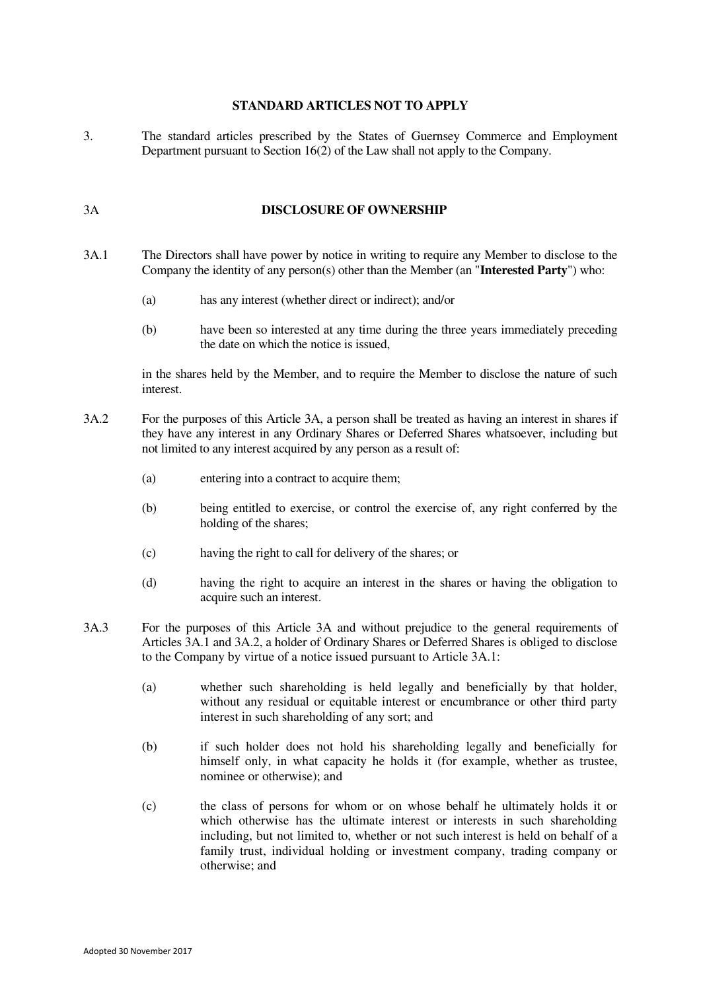#### **STANDARD ARTICLES NOT TO APPLY**

3. The standard articles prescribed by the States of Guernsey Commerce and Employment Department pursuant to Section 16(2) of the Law shall not apply to the Company.

#### 3A **DISCLOSURE OF OWNERSHIP**

- 3A.1 The Directors shall have power by notice in writing to require any Member to disclose to the Company the identity of any person(s) other than the Member (an "**Interested Party**") who:
	- (a) has any interest (whether direct or indirect); and/or
	- (b) have been so interested at any time during the three years immediately preceding the date on which the notice is issued,

in the shares held by the Member, and to require the Member to disclose the nature of such interest.

- 3A.2 For the purposes of this Article 3A, a person shall be treated as having an interest in shares if they have any interest in any Ordinary Shares or Deferred Shares whatsoever, including but not limited to any interest acquired by any person as a result of:
	- (a) entering into a contract to acquire them;
	- (b) being entitled to exercise, or control the exercise of, any right conferred by the holding of the shares;
	- (c) having the right to call for delivery of the shares; or
	- (d) having the right to acquire an interest in the shares or having the obligation to acquire such an interest.
- 3A.3 For the purposes of this Article 3A and without prejudice to the general requirements of Articles 3A.1 and 3A.2, a holder of Ordinary Shares or Deferred Shares is obliged to disclose to the Company by virtue of a notice issued pursuant to Article 3A.1:
	- (a) whether such shareholding is held legally and beneficially by that holder, without any residual or equitable interest or encumbrance or other third party interest in such shareholding of any sort; and
	- (b) if such holder does not hold his shareholding legally and beneficially for himself only, in what capacity he holds it (for example, whether as trustee, nominee or otherwise); and
	- (c) the class of persons for whom or on whose behalf he ultimately holds it or which otherwise has the ultimate interest or interests in such shareholding including, but not limited to, whether or not such interest is held on behalf of a family trust, individual holding or investment company, trading company or otherwise; and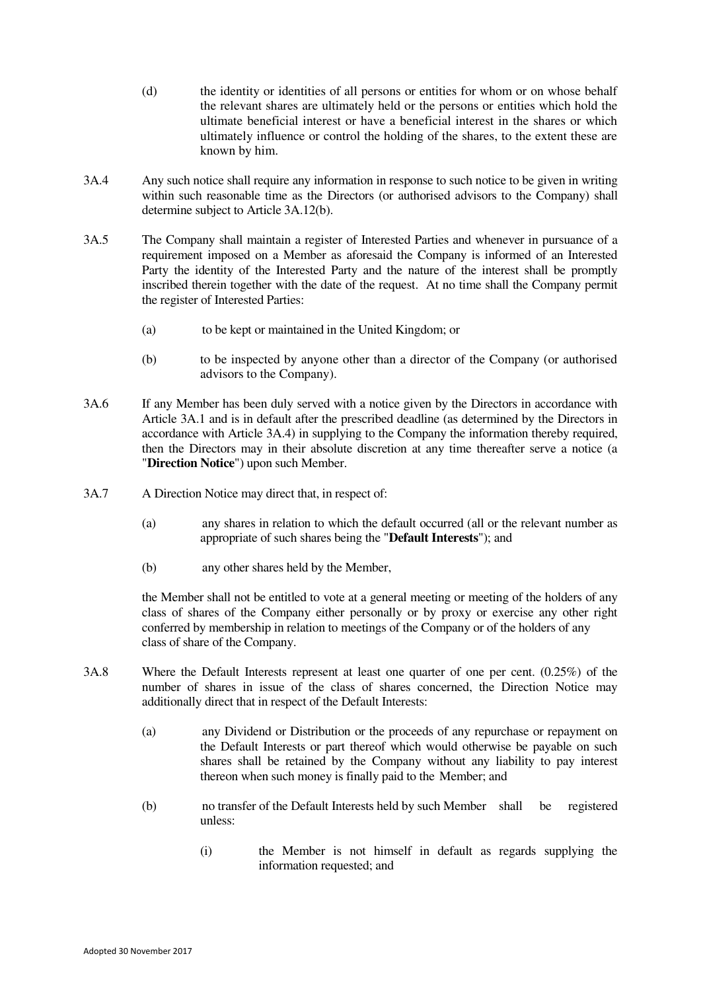- (d) the identity or identities of all persons or entities for whom or on whose behalf the relevant shares are ultimately held or the persons or entities which hold the ultimate beneficial interest or have a beneficial interest in the shares or which ultimately influence or control the holding of the shares, to the extent these are known by him.
- 3A.4 Any such notice shall require any information in response to such notice to be given in writing within such reasonable time as the Directors (or authorised advisors to the Company) shall determine subject to Article 3A.12(b).
- 3A.5 The Company shall maintain a register of Interested Parties and whenever in pursuance of a requirement imposed on a Member as aforesaid the Company is informed of an Interested Party the identity of the Interested Party and the nature of the interest shall be promptly inscribed therein together with the date of the request. At no time shall the Company permit the register of Interested Parties:
	- (a) to be kept or maintained in the United Kingdom; or
	- (b) to be inspected by anyone other than a director of the Company (or authorised advisors to the Company).
- 3A.6 If any Member has been duly served with a notice given by the Directors in accordance with Article 3A.1 and is in default after the prescribed deadline (as determined by the Directors in accordance with Article 3A.4) in supplying to the Company the information thereby required, then the Directors may in their absolute discretion at any time thereafter serve a notice (a "**Direction Notice**") upon such Member.
- 3A.7 A Direction Notice may direct that, in respect of:
	- (a) any shares in relation to which the default occurred (all or the relevant number as appropriate of such shares being the "**Default Interests**"); and
	- (b) any other shares held by the Member,

the Member shall not be entitled to vote at a general meeting or meeting of the holders of any class of shares of the Company either personally or by proxy or exercise any other right conferred by membership in relation to meetings of the Company or of the holders of any class of share of the Company.

- 3A.8 Where the Default Interests represent at least one quarter of one per cent. (0.25%) of the number of shares in issue of the class of shares concerned, the Direction Notice may additionally direct that in respect of the Default Interests:
	- (a) any Dividend or Distribution or the proceeds of any repurchase or repayment on the Default Interests or part thereof which would otherwise be payable on such shares shall be retained by the Company without any liability to pay interest thereon when such money is finally paid to the Member; and
	- (b) no transfer of the Default Interests held by such Member shall be registered unless:
		- (i) the Member is not himself in default as regards supplying the information requested; and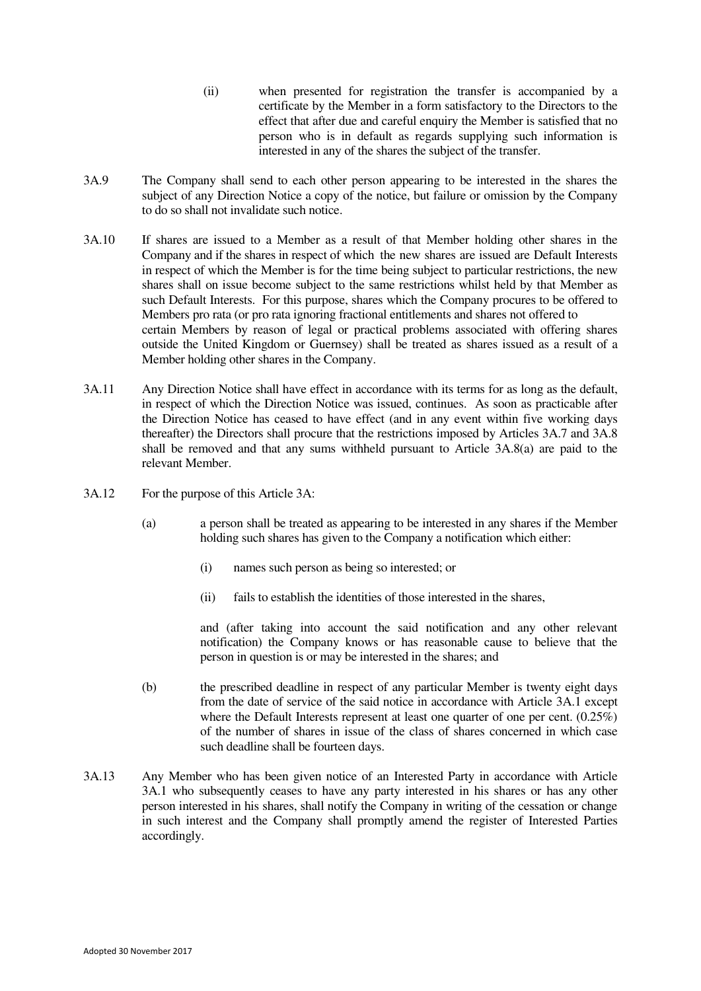- (ii) when presented for registration the transfer is accompanied by a certificate by the Member in a form satisfactory to the Directors to the effect that after due and careful enquiry the Member is satisfied that no person who is in default as regards supplying such information is interested in any of the shares the subject of the transfer.
- 3A.9 The Company shall send to each other person appearing to be interested in the shares the subject of any Direction Notice a copy of the notice, but failure or omission by the Company to do so shall not invalidate such notice.
- 3A.10 If shares are issued to a Member as a result of that Member holding other shares in the Company and if the shares in respect of which the new shares are issued are Default Interests in respect of which the Member is for the time being subject to particular restrictions, the new shares shall on issue become subject to the same restrictions whilst held by that Member as such Default Interests. For this purpose, shares which the Company procures to be offered to Members pro rata (or pro rata ignoring fractional entitlements and shares not offered to certain Members by reason of legal or practical problems associated with offering shares outside the United Kingdom or Guernsey) shall be treated as shares issued as a result of a Member holding other shares in the Company.
- 3A.11 Any Direction Notice shall have effect in accordance with its terms for as long as the default, in respect of which the Direction Notice was issued, continues. As soon as practicable after the Direction Notice has ceased to have effect (and in any event within five working days thereafter) the Directors shall procure that the restrictions imposed by Articles 3A.7 and 3A.8 shall be removed and that any sums withheld pursuant to Article 3A.8(a) are paid to the relevant Member.
- 3A.12 For the purpose of this Article 3A:
	- (a) a person shall be treated as appearing to be interested in any shares if the Member holding such shares has given to the Company a notification which either:
		- (i) names such person as being so interested; or
		- (ii) fails to establish the identities of those interested in the shares,

and (after taking into account the said notification and any other relevant notification) the Company knows or has reasonable cause to believe that the person in question is or may be interested in the shares; and

- (b) the prescribed deadline in respect of any particular Member is twenty eight days from the date of service of the said notice in accordance with Article 3A.1 except where the Default Interests represent at least one quarter of one per cent.  $(0.25\%)$ of the number of shares in issue of the class of shares concerned in which case such deadline shall be fourteen days.
- 3A.13 Any Member who has been given notice of an Interested Party in accordance with Article 3A.1 who subsequently ceases to have any party interested in his shares or has any other person interested in his shares, shall notify the Company in writing of the cessation or change in such interest and the Company shall promptly amend the register of Interested Parties accordingly.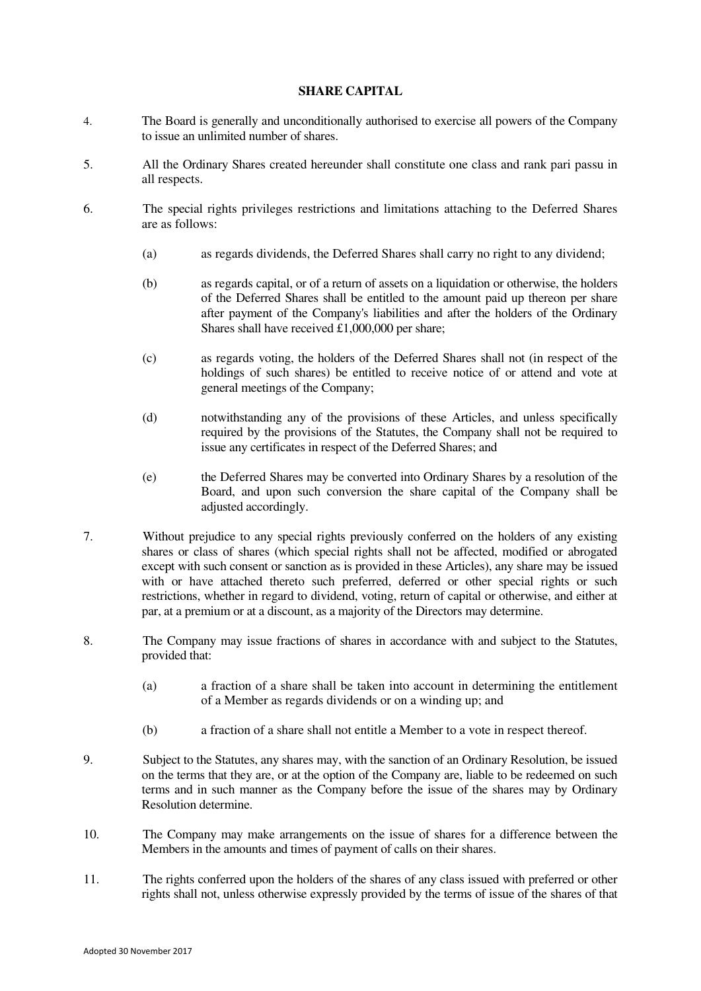## **SHARE CAPITAL**

- 4. The Board is generally and unconditionally authorised to exercise all powers of the Company to issue an unlimited number of shares.
- 5. All the Ordinary Shares created hereunder shall constitute one class and rank pari passu in all respects.
- 6. The special rights privileges restrictions and limitations attaching to the Deferred Shares are as follows:
	- (a) as regards dividends, the Deferred Shares shall carry no right to any dividend;
	- (b) as regards capital, or of a return of assets on a liquidation or otherwise, the holders of the Deferred Shares shall be entitled to the amount paid up thereon per share after payment of the Company's liabilities and after the holders of the Ordinary Shares shall have received £1,000,000 per share;
	- (c) as regards voting, the holders of the Deferred Shares shall not (in respect of the holdings of such shares) be entitled to receive notice of or attend and vote at general meetings of the Company;
	- (d) notwithstanding any of the provisions of these Articles, and unless specifically required by the provisions of the Statutes, the Company shall not be required to issue any certificates in respect of the Deferred Shares; and
	- (e) the Deferred Shares may be converted into Ordinary Shares by a resolution of the Board, and upon such conversion the share capital of the Company shall be adjusted accordingly.
- 7. Without prejudice to any special rights previously conferred on the holders of any existing shares or class of shares (which special rights shall not be affected, modified or abrogated except with such consent or sanction as is provided in these Articles), any share may be issued with or have attached thereto such preferred, deferred or other special rights or such restrictions, whether in regard to dividend, voting, return of capital or otherwise, and either at par, at a premium or at a discount, as a majority of the Directors may determine.
- 8. The Company may issue fractions of shares in accordance with and subject to the Statutes, provided that:
	- (a) a fraction of a share shall be taken into account in determining the entitlement of a Member as regards dividends or on a winding up; and
	- (b) a fraction of a share shall not entitle a Member to a vote in respect thereof.
- 9. Subject to the Statutes, any shares may, with the sanction of an Ordinary Resolution, be issued on the terms that they are, or at the option of the Company are, liable to be redeemed on such terms and in such manner as the Company before the issue of the shares may by Ordinary Resolution determine.
- 10. The Company may make arrangements on the issue of shares for a difference between the Members in the amounts and times of payment of calls on their shares.
- 11. The rights conferred upon the holders of the shares of any class issued with preferred or other rights shall not, unless otherwise expressly provided by the terms of issue of the shares of that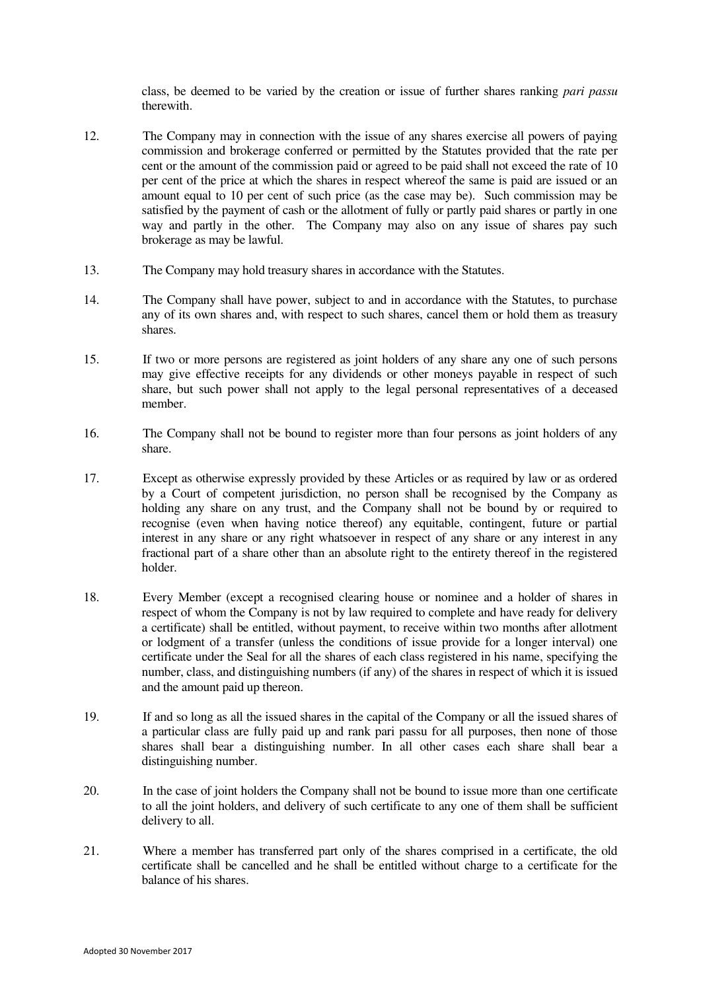class, be deemed to be varied by the creation or issue of further shares ranking *pari passu* therewith.

- 12. The Company may in connection with the issue of any shares exercise all powers of paying commission and brokerage conferred or permitted by the Statutes provided that the rate per cent or the amount of the commission paid or agreed to be paid shall not exceed the rate of 10 per cent of the price at which the shares in respect whereof the same is paid are issued or an amount equal to 10 per cent of such price (as the case may be). Such commission may be satisfied by the payment of cash or the allotment of fully or partly paid shares or partly in one way and partly in the other. The Company may also on any issue of shares pay such brokerage as may be lawful.
- 13. The Company may hold treasury shares in accordance with the Statutes.
- 14. The Company shall have power, subject to and in accordance with the Statutes, to purchase any of its own shares and, with respect to such shares, cancel them or hold them as treasury shares.
- 15. If two or more persons are registered as joint holders of any share any one of such persons may give effective receipts for any dividends or other moneys payable in respect of such share, but such power shall not apply to the legal personal representatives of a deceased member.
- 16. The Company shall not be bound to register more than four persons as joint holders of any share.
- 17. Except as otherwise expressly provided by these Articles or as required by law or as ordered by a Court of competent jurisdiction, no person shall be recognised by the Company as holding any share on any trust, and the Company shall not be bound by or required to recognise (even when having notice thereof) any equitable, contingent, future or partial interest in any share or any right whatsoever in respect of any share or any interest in any fractional part of a share other than an absolute right to the entirety thereof in the registered holder.
- 18. Every Member (except a recognised clearing house or nominee and a holder of shares in respect of whom the Company is not by law required to complete and have ready for delivery a certificate) shall be entitled, without payment, to receive within two months after allotment or lodgment of a transfer (unless the conditions of issue provide for a longer interval) one certificate under the Seal for all the shares of each class registered in his name, specifying the number, class, and distinguishing numbers (if any) of the shares in respect of which it is issued and the amount paid up thereon.
- 19. If and so long as all the issued shares in the capital of the Company or all the issued shares of a particular class are fully paid up and rank pari passu for all purposes, then none of those shares shall bear a distinguishing number. In all other cases each share shall bear a distinguishing number.
- 20. In the case of joint holders the Company shall not be bound to issue more than one certificate to all the joint holders, and delivery of such certificate to any one of them shall be sufficient delivery to all.
- 21. Where a member has transferred part only of the shares comprised in a certificate, the old certificate shall be cancelled and he shall be entitled without charge to a certificate for the balance of his shares.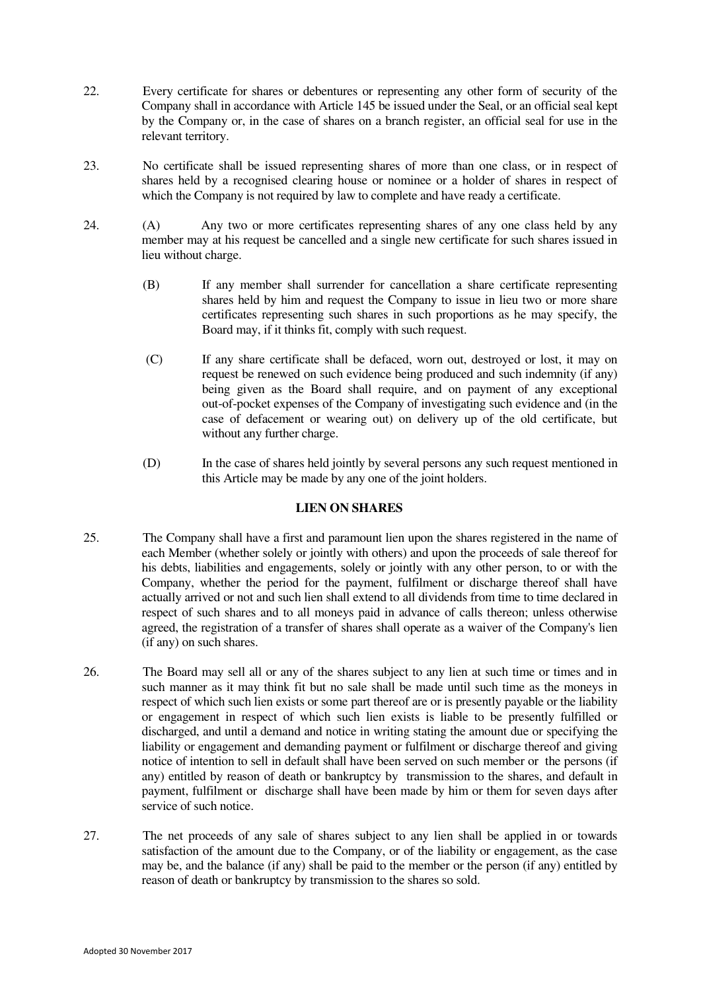- 22. Every certificate for shares or debentures or representing any other form of security of the Company shall in accordance with Articl[e 145](#page-30-0) be issued under the Seal, or an official seal kept by the Company or, in the case of shares on a branch register, an official seal for use in the relevant territory.
- 23. No certificate shall be issued representing shares of more than one class, or in respect of shares held by a recognised clearing house or nominee or a holder of shares in respect of which the Company is not required by law to complete and have ready a certificate.
- 24. (A) Any two or more certificates representing shares of any one class held by any member may at his request be cancelled and a single new certificate for such shares issued in lieu without charge.
	- (B) If any member shall surrender for cancellation a share certificate representing shares held by him and request the Company to issue in lieu two or more share certificates representing such shares in such proportions as he may specify, the Board may, if it thinks fit, comply with such request.
	- (C) If any share certificate shall be defaced, worn out, destroyed or lost, it may on request be renewed on such evidence being produced and such indemnity (if any) being given as the Board shall require, and on payment of any exceptional out-of-pocket expenses of the Company of investigating such evidence and (in the case of defacement or wearing out) on delivery up of the old certificate, but without any further charge.
	- (D) In the case of shares held jointly by several persons any such request mentioned in this Article may be made by any one of the joint holders.

## **LIEN ON SHARES**

- <span id="page-9-0"></span>25. The Company shall have a first and paramount lien upon the shares registered in the name of each Member (whether solely or jointly with others) and upon the proceeds of sale thereof for his debts, liabilities and engagements, solely or jointly with any other person, to or with the Company, whether the period for the payment, fulfilment or discharge thereof shall have actually arrived or not and such lien shall extend to all dividends from time to time declared in respect of such shares and to all moneys paid in advance of calls thereon; unless otherwise agreed, the registration of a transfer of shares shall operate as a waiver of the Company's lien (if any) on such shares.
- 26. The Board may sell all or any of the shares subject to any lien at such time or times and in such manner as it may think fit but no sale shall be made until such time as the moneys in respect of which such lien exists or some part thereof are or is presently payable or the liability or engagement in respect of which such lien exists is liable to be presently fulfilled or discharged, and until a demand and notice in writing stating the amount due or specifying the liability or engagement and demanding payment or fulfilment or discharge thereof and giving notice of intention to sell in default shall have been served on such member or the persons (if any) entitled by reason of death or bankruptcy by transmission to the shares, and default in payment, fulfilment or discharge shall have been made by him or them for seven days after service of such notice.
- 27. The net proceeds of any sale of shares subject to any lien shall be applied in or towards satisfaction of the amount due to the Company, or of the liability or engagement, as the case may be, and the balance (if any) shall be paid to the member or the person (if any) entitled by reason of death or bankruptcy by transmission to the shares so sold.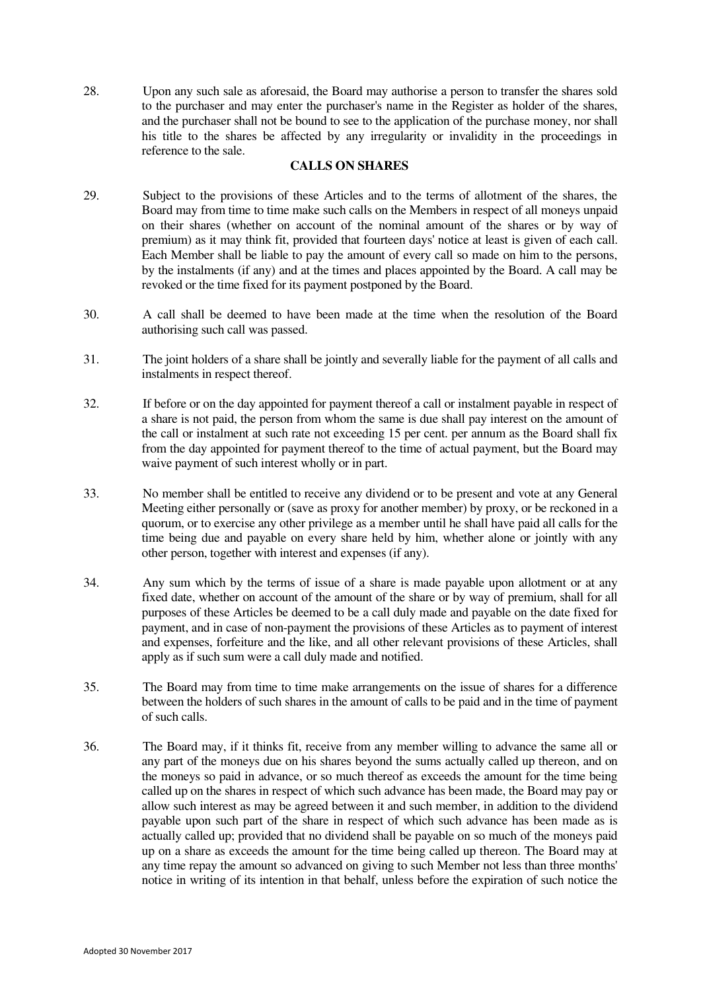28. Upon any such sale as aforesaid, the Board may authorise a person to transfer the shares sold to the purchaser and may enter the purchaser's name in the Register as holder of the shares, and the purchaser shall not be bound to see to the application of the purchase money, nor shall his title to the shares be affected by any irregularity or invalidity in the proceedings in reference to the sale.

## **CALLS ON SHARES**

- <span id="page-10-0"></span>29. Subject to the provisions of these Articles and to the terms of allotment of the shares, the Board may from time to time make such calls on the Members in respect of all moneys unpaid on their shares (whether on account of the nominal amount of the shares or by way of premium) as it may think fit, provided that fourteen days' notice at least is given of each call. Each Member shall be liable to pay the amount of every call so made on him to the persons, by the instalments (if any) and at the times and places appointed by the Board. A call may be revoked or the time fixed for its payment postponed by the Board.
- 30. A call shall be deemed to have been made at the time when the resolution of the Board authorising such call was passed.
- 31. The joint holders of a share shall be jointly and severally liable for the payment of all calls and instalments in respect thereof.
- 32. If before or on the day appointed for payment thereof a call or instalment payable in respect of a share is not paid, the person from whom the same is due shall pay interest on the amount of the call or instalment at such rate not exceeding 15 per cent. per annum as the Board shall fix from the day appointed for payment thereof to the time of actual payment, but the Board may waive payment of such interest wholly or in part.
- 33. No member shall be entitled to receive any dividend or to be present and vote at any General Meeting either personally or (save as proxy for another member) by proxy, or be reckoned in a quorum, or to exercise any other privilege as a member until he shall have paid all calls for the time being due and payable on every share held by him, whether alone or jointly with any other person, together with interest and expenses (if any).
- 34. Any sum which by the terms of issue of a share is made payable upon allotment or at any fixed date, whether on account of the amount of the share or by way of premium, shall for all purposes of these Articles be deemed to be a call duly made and payable on the date fixed for payment, and in case of non-payment the provisions of these Articles as to payment of interest and expenses, forfeiture and the like, and all other relevant provisions of these Articles, shall apply as if such sum were a call duly made and notified.
- 35. The Board may from time to time make arrangements on the issue of shares for a difference between the holders of such shares in the amount of calls to be paid and in the time of payment of such calls.
- 36. The Board may, if it thinks fit, receive from any member willing to advance the same all or any part of the moneys due on his shares beyond the sums actually called up thereon, and on the moneys so paid in advance, or so much thereof as exceeds the amount for the time being called up on the shares in respect of which such advance has been made, the Board may pay or allow such interest as may be agreed between it and such member, in addition to the dividend payable upon such part of the share in respect of which such advance has been made as is actually called up; provided that no dividend shall be payable on so much of the moneys paid up on a share as exceeds the amount for the time being called up thereon. The Board may at any time repay the amount so advanced on giving to such Member not less than three months' notice in writing of its intention in that behalf, unless before the expiration of such notice the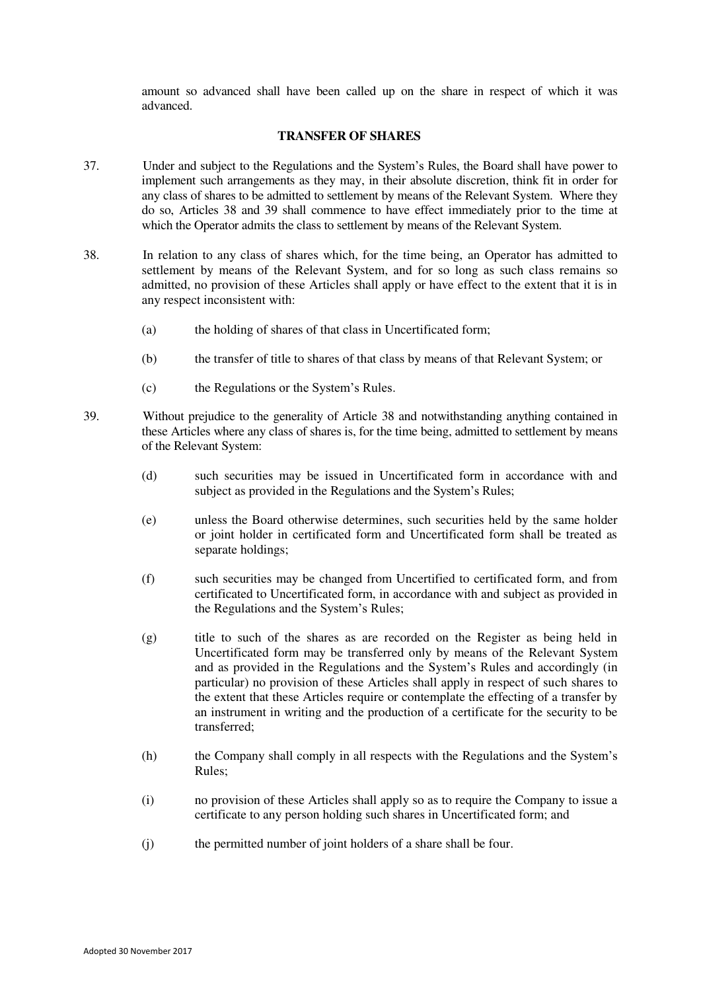amount so advanced shall have been called up on the share in respect of which it was advanced.

#### **TRANSFER OF SHARES**

- <span id="page-11-2"></span>37. Under and subject to the Regulations and the System's Rules, the Board shall have power to implement such arrangements as they may, in their absolute discretion, think fit in order for any class of shares to be admitted to settlement by means of the Relevant System. Where they do so, Articles [38](#page-11-0) and [39](#page-11-1) shall commence to have effect immediately prior to the time at which the Operator admits the class to settlement by means of the Relevant System.
- <span id="page-11-0"></span>38. In relation to any class of shares which, for the time being, an Operator has admitted to settlement by means of the Relevant System, and for so long as such class remains so admitted, no provision of these Articles shall apply or have effect to the extent that it is in any respect inconsistent with:
	- (a) the holding of shares of that class in Uncertificated form;
	- (b) the transfer of title to shares of that class by means of that Relevant System; or
	- (c) the Regulations or the System's Rules.
- <span id="page-11-1"></span>39. Without prejudice to the generality of Article [38](#page-11-0) and notwithstanding anything contained in these Articles where any class of shares is, for the time being, admitted to settlement by means of the Relevant System:
	- (d) such securities may be issued in Uncertificated form in accordance with and subject as provided in the Regulations and the System's Rules;
	- (e) unless the Board otherwise determines, such securities held by the same holder or joint holder in certificated form and Uncertificated form shall be treated as separate holdings;
	- (f) such securities may be changed from Uncertified to certificated form, and from certificated to Uncertificated form, in accordance with and subject as provided in the Regulations and the System's Rules;
	- (g) title to such of the shares as are recorded on the Register as being held in Uncertificated form may be transferred only by means of the Relevant System and as provided in the Regulations and the System's Rules and accordingly (in particular) no provision of these Articles shall apply in respect of such shares to the extent that these Articles require or contemplate the effecting of a transfer by an instrument in writing and the production of a certificate for the security to be transferred;
	- (h) the Company shall comply in all respects with the Regulations and the System's Rules;
	- (i) no provision of these Articles shall apply so as to require the Company to issue a certificate to any person holding such shares in Uncertificated form; and
	- (j) the permitted number of joint holders of a share shall be four.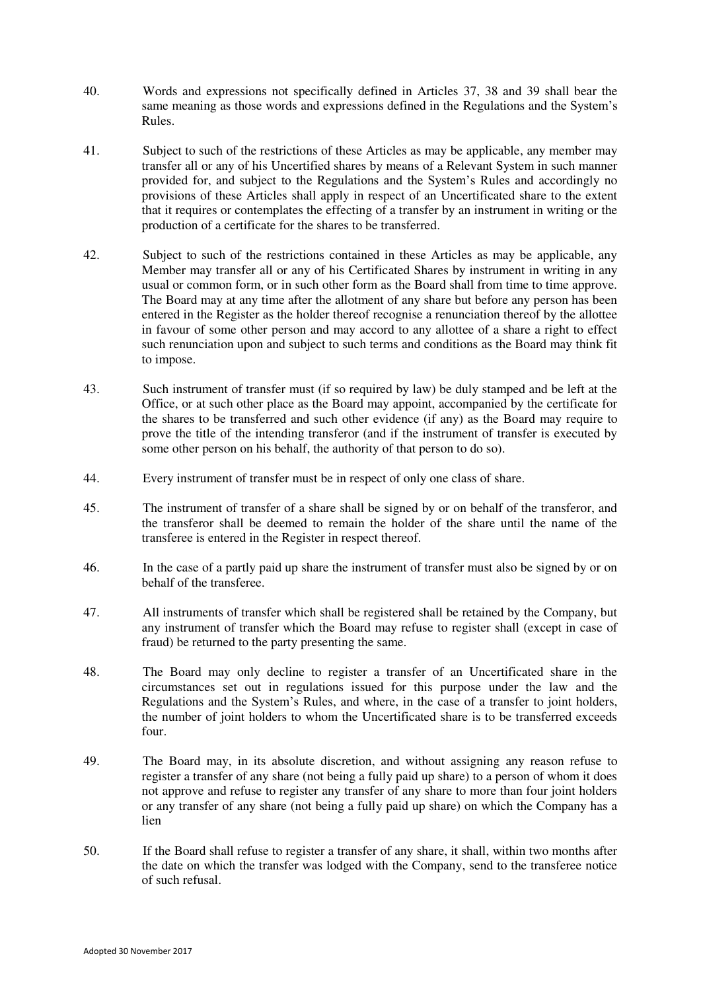- 40. Words and expressions not specifically defined in Articles [37,](#page-11-2) 38 and [39](#page-11-1) shall bear the same meaning as those words and expressions defined in the Regulations and the System's Rules.
- 41. Subject to such of the restrictions of these Articles as may be applicable, any member may transfer all or any of his Uncertified shares by means of a Relevant System in such manner provided for, and subject to the Regulations and the System's Rules and accordingly no provisions of these Articles shall apply in respect of an Uncertificated share to the extent that it requires or contemplates the effecting of a transfer by an instrument in writing or the production of a certificate for the shares to be transferred.
- 42. Subject to such of the restrictions contained in these Articles as may be applicable, any Member may transfer all or any of his Certificated Shares by instrument in writing in any usual or common form, or in such other form as the Board shall from time to time approve. The Board may at any time after the allotment of any share but before any person has been entered in the Register as the holder thereof recognise a renunciation thereof by the allottee in favour of some other person and may accord to any allottee of a share a right to effect such renunciation upon and subject to such terms and conditions as the Board may think fit to impose.
- 43. Such instrument of transfer must (if so required by law) be duly stamped and be left at the Office, or at such other place as the Board may appoint, accompanied by the certificate for the shares to be transferred and such other evidence (if any) as the Board may require to prove the title of the intending transferor (and if the instrument of transfer is executed by some other person on his behalf, the authority of that person to do so).
- 44. Every instrument of transfer must be in respect of only one class of share.
- 45. The instrument of transfer of a share shall be signed by or on behalf of the transferor, and the transferor shall be deemed to remain the holder of the share until the name of the transferee is entered in the Register in respect thereof.
- 46. In the case of a partly paid up share the instrument of transfer must also be signed by or on behalf of the transferee.
- 47. All instruments of transfer which shall be registered shall be retained by the Company, but any instrument of transfer which the Board may refuse to register shall (except in case of fraud) be returned to the party presenting the same.
- 48. The Board may only decline to register a transfer of an Uncertificated share in the circumstances set out in regulations issued for this purpose under the law and the Regulations and the System's Rules, and where, in the case of a transfer to joint holders, the number of joint holders to whom the Uncertificated share is to be transferred exceeds four.
- 49. The Board may, in its absolute discretion, and without assigning any reason refuse to register a transfer of any share (not being a fully paid up share) to a person of whom it does not approve and refuse to register any transfer of any share to more than four joint holders or any transfer of any share (not being a fully paid up share) on which the Company has a lien
- 50. If the Board shall refuse to register a transfer of any share, it shall, within two months after the date on which the transfer was lodged with the Company, send to the transferee notice of such refusal.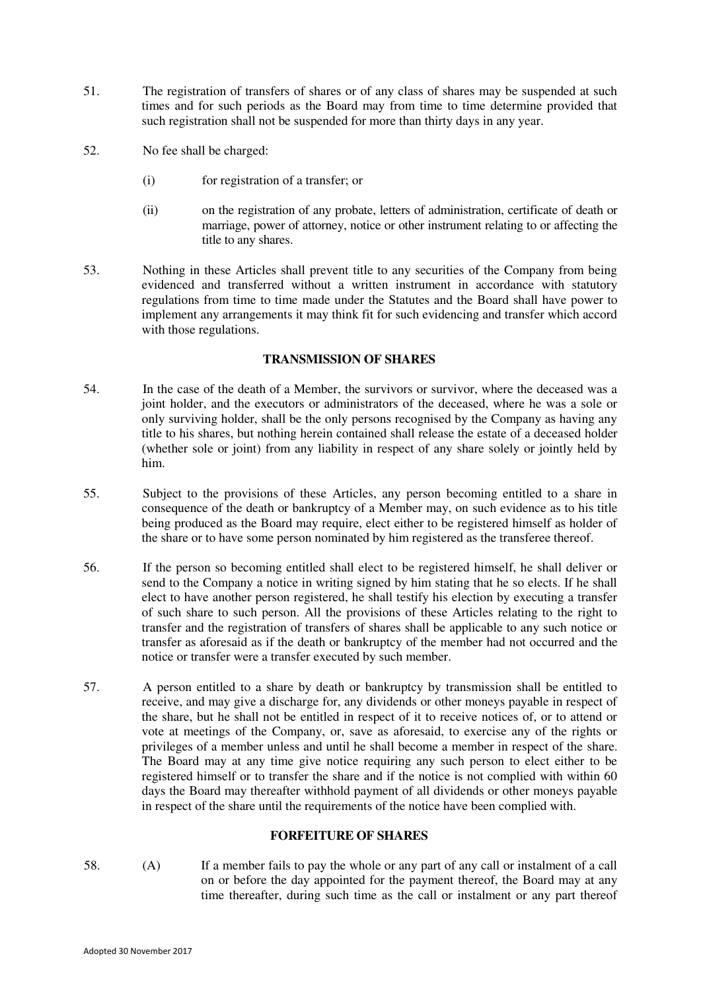- 51. The registration of transfers of shares or of any class of shares may be suspended at such times and for such periods as the Board may from time to time determine provided that such registration shall not be suspended for more than thirty days in any year.
- 52. No fee shall be charged:
	- (i) for registration of a transfer; or
	- (ii) on the registration of any probate, letters of administration, certificate of death or marriage, power of attorney, notice or other instrument relating to or affecting the title to any shares.
- <span id="page-13-0"></span>53. Nothing in these Articles shall prevent title to any securities of the Company from being evidenced and transferred without a written instrument in accordance with statutory regulations from time to time made under the Statutes and the Board shall have power to implement any arrangements it may think fit for such evidencing and transfer which accord with those regulations.

## **TRANSMISSION OF SHARES**

- <span id="page-13-1"></span>54. In the case of the death of a Member, the survivors or survivor, where the deceased was a joint holder, and the executors or administrators of the deceased, where he was a sole or only surviving holder, shall be the only persons recognised by the Company as having any title to his shares, but nothing herein contained shall release the estate of a deceased holder (whether sole or joint) from any liability in respect of any share solely or jointly held by him.
- 55. Subject to the provisions of these Articles, any person becoming entitled to a share in consequence of the death or bankruptcy of a Member may, on such evidence as to his title being produced as the Board may require, elect either to be registered himself as holder of the share or to have some person nominated by him registered as the transferee thereof.
- 56. If the person so becoming entitled shall elect to be registered himself, he shall deliver or send to the Company a notice in writing signed by him stating that he so elects. If he shall elect to have another person registered, he shall testify his election by executing a transfer of such share to such person. All the provisions of these Articles relating to the right to transfer and the registration of transfers of shares shall be applicable to any such notice or transfer as aforesaid as if the death or bankruptcy of the member had not occurred and the notice or transfer were a transfer executed by such member.
- 57. A person entitled to a share by death or bankruptcy by transmission shall be entitled to receive, and may give a discharge for, any dividends or other moneys payable in respect of the share, but he shall not be entitled in respect of it to receive notices of, or to attend or vote at meetings of the Company, or, save as aforesaid, to exercise any of the rights or privileges of a member unless and until he shall become a member in respect of the share. The Board may at any time give notice requiring any such person to elect either to be registered himself or to transfer the share and if the notice is not complied with within 60 days the Board may thereafter withhold payment of all dividends or other moneys payable in respect of the share until the requirements of the notice have been complied with.

## **FORFEITURE OF SHARES**

<span id="page-13-2"></span>58. (A) If a member fails to pay the whole or any part of any call or instalment of a call on or before the day appointed for the payment thereof, the Board may at any time thereafter, during such time as the call or instalment or any part thereof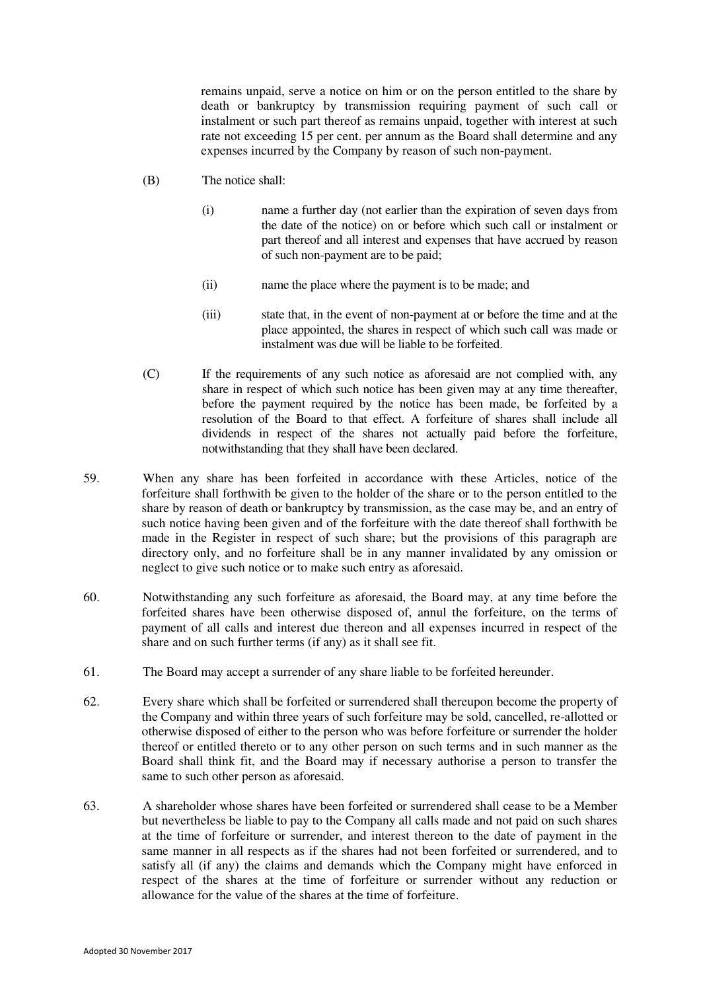remains unpaid, serve a notice on him or on the person entitled to the share by death or bankruptcy by transmission requiring payment of such call or instalment or such part thereof as remains unpaid, together with interest at such rate not exceeding 15 per cent. per annum as the Board shall determine and any expenses incurred by the Company by reason of such non-payment.

- (B) The notice shall:
	- (i) name a further day (not earlier than the expiration of seven days from the date of the notice) on or before which such call or instalment or part thereof and all interest and expenses that have accrued by reason of such non-payment are to be paid;
	- (ii) name the place where the payment is to be made; and
	- (iii) state that, in the event of non-payment at or before the time and at the place appointed, the shares in respect of which such call was made or instalment was due will be liable to be forfeited.
- (C) If the requirements of any such notice as aforesaid are not complied with, any share in respect of which such notice has been given may at any time thereafter, before the payment required by the notice has been made, be forfeited by a resolution of the Board to that effect. A forfeiture of shares shall include all dividends in respect of the shares not actually paid before the forfeiture, notwithstanding that they shall have been declared.
- 59. When any share has been forfeited in accordance with these Articles, notice of the forfeiture shall forthwith be given to the holder of the share or to the person entitled to the share by reason of death or bankruptcy by transmission, as the case may be, and an entry of such notice having been given and of the forfeiture with the date thereof shall forthwith be made in the Register in respect of such share; but the provisions of this paragraph are directory only, and no forfeiture shall be in any manner invalidated by any omission or neglect to give such notice or to make such entry as aforesaid.
- 60. Notwithstanding any such forfeiture as aforesaid, the Board may, at any time before the forfeited shares have been otherwise disposed of, annul the forfeiture, on the terms of payment of all calls and interest due thereon and all expenses incurred in respect of the share and on such further terms (if any) as it shall see fit.
- 61. The Board may accept a surrender of any share liable to be forfeited hereunder.
- 62. Every share which shall be forfeited or surrendered shall thereupon become the property of the Company and within three years of such forfeiture may be sold, cancelled, re-allotted or otherwise disposed of either to the person who was before forfeiture or surrender the holder thereof or entitled thereto or to any other person on such terms and in such manner as the Board shall think fit, and the Board may if necessary authorise a person to transfer the same to such other person as aforesaid.
- 63. A shareholder whose shares have been forfeited or surrendered shall cease to be a Member but nevertheless be liable to pay to the Company all calls made and not paid on such shares at the time of forfeiture or surrender, and interest thereon to the date of payment in the same manner in all respects as if the shares had not been forfeited or surrendered, and to satisfy all (if any) the claims and demands which the Company might have enforced in respect of the shares at the time of forfeiture or surrender without any reduction or allowance for the value of the shares at the time of forfeiture.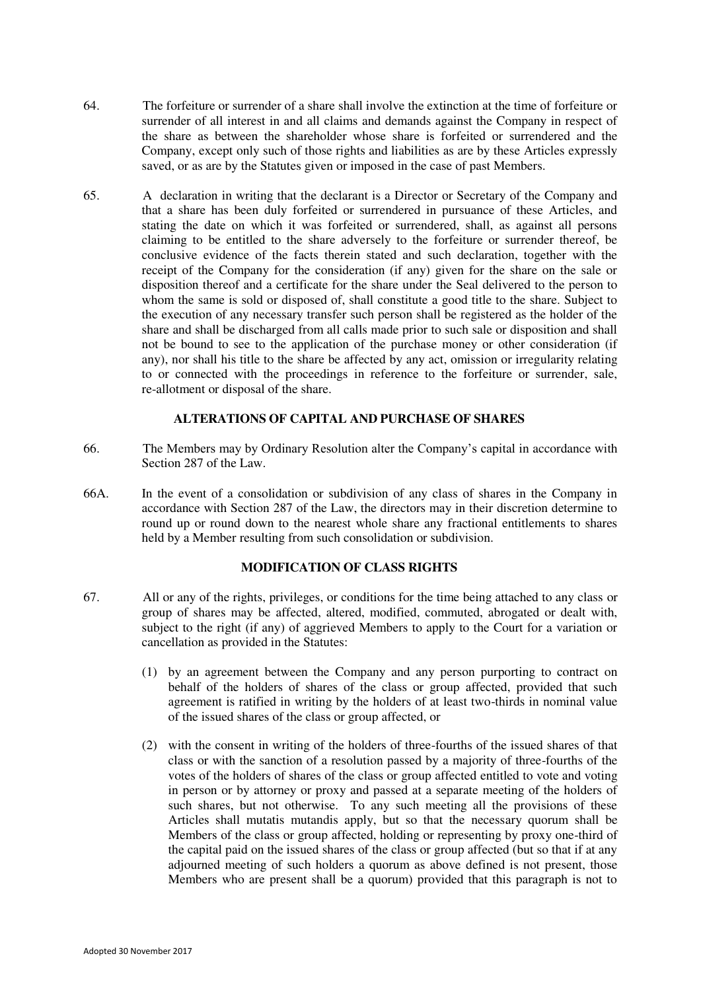- 64. The forfeiture or surrender of a share shall involve the extinction at the time of forfeiture or surrender of all interest in and all claims and demands against the Company in respect of the share as between the shareholder whose share is forfeited or surrendered and the Company, except only such of those rights and liabilities as are by these Articles expressly saved, or as are by the Statutes given or imposed in the case of past Members.
- 65. A declaration in writing that the declarant is a Director or Secretary of the Company and that a share has been duly forfeited or surrendered in pursuance of these Articles, and stating the date on which it was forfeited or surrendered, shall, as against all persons claiming to be entitled to the share adversely to the forfeiture or surrender thereof, be conclusive evidence of the facts therein stated and such declaration, together with the receipt of the Company for the consideration (if any) given for the share on the sale or disposition thereof and a certificate for the share under the Seal delivered to the person to whom the same is sold or disposed of, shall constitute a good title to the share. Subject to the execution of any necessary transfer such person shall be registered as the holder of the share and shall be discharged from all calls made prior to such sale or disposition and shall not be bound to see to the application of the purchase money or other consideration (if any), nor shall his title to the share be affected by any act, omission or irregularity relating to or connected with the proceedings in reference to the forfeiture or surrender, sale, re-allotment or disposal of the share.

# **ALTERATIONS OF CAPITAL AND PURCHASE OF SHARES**

- <span id="page-15-0"></span>66. The Members may by Ordinary Resolution alter the Company's capital in accordance with Section 287 of the Law.
- 66A. In the event of a consolidation or subdivision of any class of shares in the Company in accordance with Section 287 of the Law, the directors may in their discretion determine to round up or round down to the nearest whole share any fractional entitlements to shares held by a Member resulting from such consolidation or subdivision.

## **MODIFICATION OF CLASS RIGHTS**

- <span id="page-15-1"></span>67. All or any of the rights, privileges, or conditions for the time being attached to any class or group of shares may be affected, altered, modified, commuted, abrogated or dealt with, subject to the right (if any) of aggrieved Members to apply to the Court for a variation or cancellation as provided in the Statutes:
	- (1) by an agreement between the Company and any person purporting to contract on behalf of the holders of shares of the class or group affected, provided that such agreement is ratified in writing by the holders of at least two-thirds in nominal value of the issued shares of the class or group affected, or
	- (2) with the consent in writing of the holders of three-fourths of the issued shares of that class or with the sanction of a resolution passed by a majority of three-fourths of the votes of the holders of shares of the class or group affected entitled to vote and voting in person or by attorney or proxy and passed at a separate meeting of the holders of such shares, but not otherwise. To any such meeting all the provisions of these Articles shall mutatis mutandis apply, but so that the necessary quorum shall be Members of the class or group affected, holding or representing by proxy one-third of the capital paid on the issued shares of the class or group affected (but so that if at any adjourned meeting of such holders a quorum as above defined is not present, those Members who are present shall be a quorum) provided that this paragraph is not to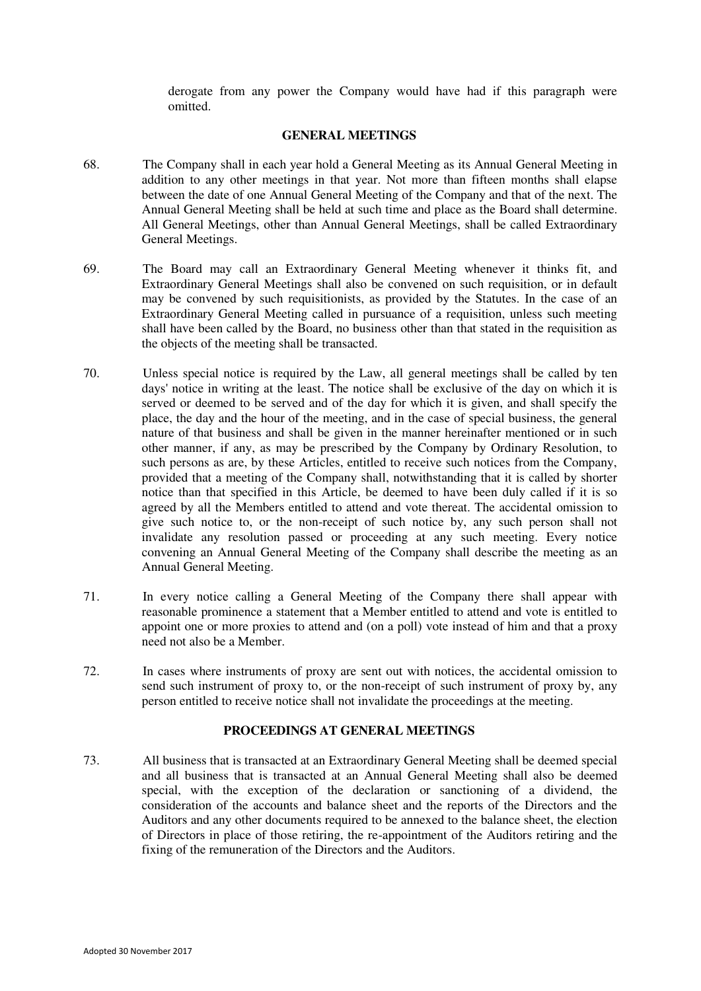derogate from any power the Company would have had if this paragraph were omitted.

#### **GENERAL MEETINGS**

- 68. The Company shall in each year hold a General Meeting as its Annual General Meeting in addition to any other meetings in that year. Not more than fifteen months shall elapse between the date of one Annual General Meeting of the Company and that of the next. The Annual General Meeting shall be held at such time and place as the Board shall determine. All General Meetings, other than Annual General Meetings, shall be called Extraordinary General Meetings.
- 69. The Board may call an Extraordinary General Meeting whenever it thinks fit, and Extraordinary General Meetings shall also be convened on such requisition, or in default may be convened by such requisitionists, as provided by the Statutes. In the case of an Extraordinary General Meeting called in pursuance of a requisition, unless such meeting shall have been called by the Board, no business other than that stated in the requisition as the objects of the meeting shall be transacted.
- 70. Unless special notice is required by the Law, all general meetings shall be called by ten days' notice in writing at the least. The notice shall be exclusive of the day on which it is served or deemed to be served and of the day for which it is given, and shall specify the place, the day and the hour of the meeting, and in the case of special business, the general nature of that business and shall be given in the manner hereinafter mentioned or in such other manner, if any, as may be prescribed by the Company by Ordinary Resolution, to such persons as are, by these Articles, entitled to receive such notices from the Company, provided that a meeting of the Company shall, notwithstanding that it is called by shorter notice than that specified in this Article, be deemed to have been duly called if it is so agreed by all the Members entitled to attend and vote thereat. The accidental omission to give such notice to, or the non-receipt of such notice by, any such person shall not invalidate any resolution passed or proceeding at any such meeting. Every notice convening an Annual General Meeting of the Company shall describe the meeting as an Annual General Meeting.
- 71. In every notice calling a General Meeting of the Company there shall appear with reasonable prominence a statement that a Member entitled to attend and vote is entitled to appoint one or more proxies to attend and (on a poll) vote instead of him and that a proxy need not also be a Member.
- 72. In cases where instruments of proxy are sent out with notices, the accidental omission to send such instrument of proxy to, or the non-receipt of such instrument of proxy by, any person entitled to receive notice shall not invalidate the proceedings at the meeting.

#### **PROCEEDINGS AT GENERAL MEETINGS**

<span id="page-16-0"></span>73. All business that is transacted at an Extraordinary General Meeting shall be deemed special and all business that is transacted at an Annual General Meeting shall also be deemed special, with the exception of the declaration or sanctioning of a dividend, the consideration of the accounts and balance sheet and the reports of the Directors and the Auditors and any other documents required to be annexed to the balance sheet, the election of Directors in place of those retiring, the re-appointment of the Auditors retiring and the fixing of the remuneration of the Directors and the Auditors.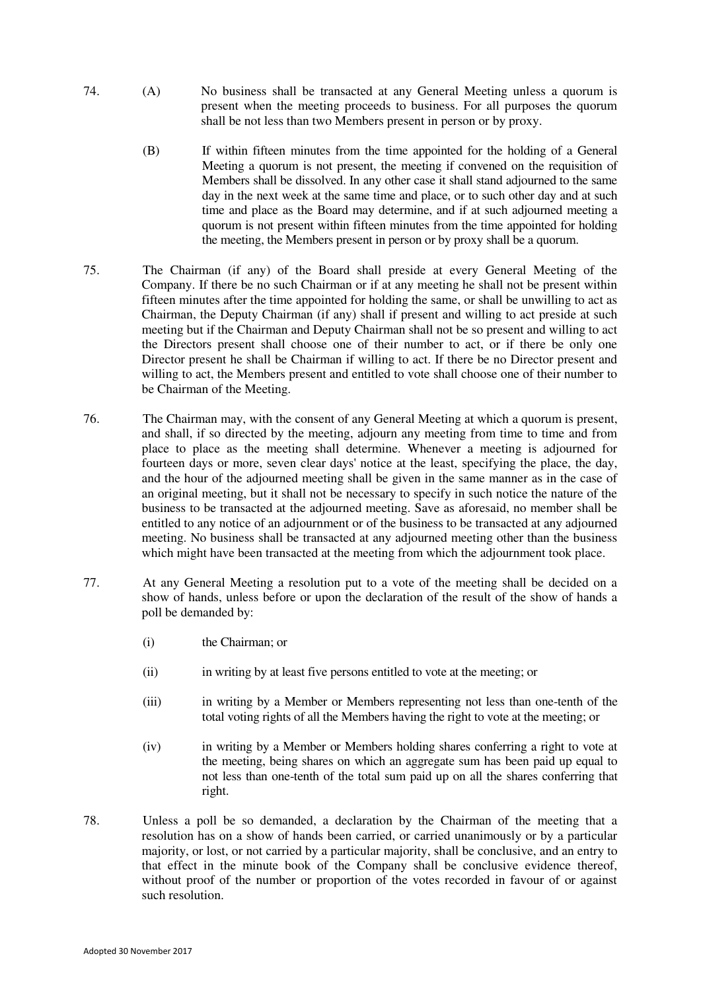- 74. (A) No business shall be transacted at any General Meeting unless a quorum is present when the meeting proceeds to business. For all purposes the quorum shall be not less than two Members present in person or by proxy.
	- (B) If within fifteen minutes from the time appointed for the holding of a General Meeting a quorum is not present, the meeting if convened on the requisition of Members shall be dissolved. In any other case it shall stand adjourned to the same day in the next week at the same time and place, or to such other day and at such time and place as the Board may determine, and if at such adjourned meeting a quorum is not present within fifteen minutes from the time appointed for holding the meeting, the Members present in person or by proxy shall be a quorum.
- 75. The Chairman (if any) of the Board shall preside at every General Meeting of the Company. If there be no such Chairman or if at any meeting he shall not be present within fifteen minutes after the time appointed for holding the same, or shall be unwilling to act as Chairman, the Deputy Chairman (if any) shall if present and willing to act preside at such meeting but if the Chairman and Deputy Chairman shall not be so present and willing to act the Directors present shall choose one of their number to act, or if there be only one Director present he shall be Chairman if willing to act. If there be no Director present and willing to act, the Members present and entitled to vote shall choose one of their number to be Chairman of the Meeting.
- 76. The Chairman may, with the consent of any General Meeting at which a quorum is present, and shall, if so directed by the meeting, adjourn any meeting from time to time and from place to place as the meeting shall determine. Whenever a meeting is adjourned for fourteen days or more, seven clear days' notice at the least, specifying the place, the day, and the hour of the adjourned meeting shall be given in the same manner as in the case of an original meeting, but it shall not be necessary to specify in such notice the nature of the business to be transacted at the adjourned meeting. Save as aforesaid, no member shall be entitled to any notice of an adjournment or of the business to be transacted at any adjourned meeting. No business shall be transacted at any adjourned meeting other than the business which might have been transacted at the meeting from which the adjournment took place.
- 77. At any General Meeting a resolution put to a vote of the meeting shall be decided on a show of hands, unless before or upon the declaration of the result of the show of hands a poll be demanded by:
	- (i) the Chairman; or
	- (ii) in writing by at least five persons entitled to vote at the meeting; or
	- (iii) in writing by a Member or Members representing not less than one-tenth of the total voting rights of all the Members having the right to vote at the meeting; or
	- (iv) in writing by a Member or Members holding shares conferring a right to vote at the meeting, being shares on which an aggregate sum has been paid up equal to not less than one-tenth of the total sum paid up on all the shares conferring that right.
- 78. Unless a poll be so demanded, a declaration by the Chairman of the meeting that a resolution has on a show of hands been carried, or carried unanimously or by a particular majority, or lost, or not carried by a particular majority, shall be conclusive, and an entry to that effect in the minute book of the Company shall be conclusive evidence thereof, without proof of the number or proportion of the votes recorded in favour of or against such resolution.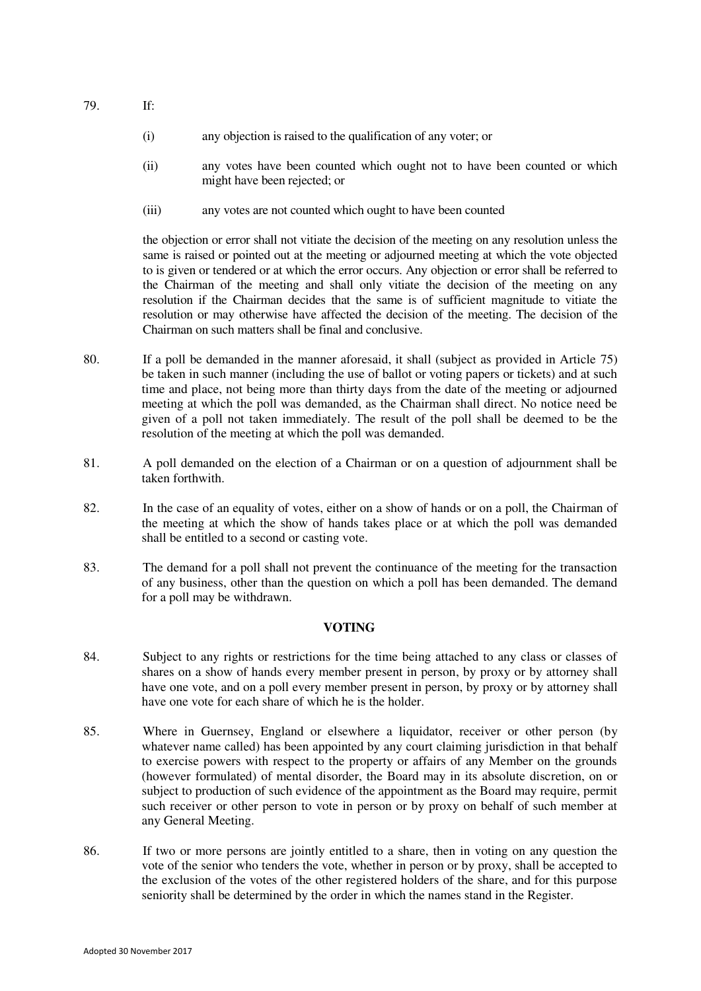79. If:

- (i) any objection is raised to the qualification of any voter; or
- (ii) any votes have been counted which ought not to have been counted or which might have been rejected; or
- (iii) any votes are not counted which ought to have been counted

 the objection or error shall not vitiate the decision of the meeting on any resolution unless the same is raised or pointed out at the meeting or adjourned meeting at which the vote objected to is given or tendered or at which the error occurs. Any objection or error shall be referred to the Chairman of the meeting and shall only vitiate the decision of the meeting on any resolution if the Chairman decides that the same is of sufficient magnitude to vitiate the resolution or may otherwise have affected the decision of the meeting. The decision of the Chairman on such matters shall be final and conclusive.

- 80. If a poll be demanded in the manner aforesaid, it shall (subject as provided in Article 75) be taken in such manner (including the use of ballot or voting papers or tickets) and at such time and place, not being more than thirty days from the date of the meeting or adjourned meeting at which the poll was demanded, as the Chairman shall direct. No notice need be given of a poll not taken immediately. The result of the poll shall be deemed to be the resolution of the meeting at which the poll was demanded.
- 81. A poll demanded on the election of a Chairman or on a question of adjournment shall be taken forthwith.
- 82. In the case of an equality of votes, either on a show of hands or on a poll, the Chairman of the meeting at which the show of hands takes place or at which the poll was demanded shall be entitled to a second or casting vote.
- 83. The demand for a poll shall not prevent the continuance of the meeting for the transaction of any business, other than the question on which a poll has been demanded. The demand for a poll may be withdrawn.

## **VOTING**

- <span id="page-18-1"></span>84. Subject to any rights or restrictions for the time being attached to any class or classes of shares on a show of hands every member present in person, by proxy or by attorney shall have one vote, and on a poll every member present in person, by proxy or by attorney shall have one vote for each share of which he is the holder.
- <span id="page-18-0"></span>85. Where in Guernsey, England or elsewhere a liquidator, receiver or other person (by whatever name called) has been appointed by any court claiming jurisdiction in that behalf to exercise powers with respect to the property or affairs of any Member on the grounds (however formulated) of mental disorder, the Board may in its absolute discretion, on or subject to production of such evidence of the appointment as the Board may require, permit such receiver or other person to vote in person or by proxy on behalf of such member at any General Meeting.
- 86. If two or more persons are jointly entitled to a share, then in voting on any question the vote of the senior who tenders the vote, whether in person or by proxy, shall be accepted to the exclusion of the votes of the other registered holders of the share, and for this purpose seniority shall be determined by the order in which the names stand in the Register.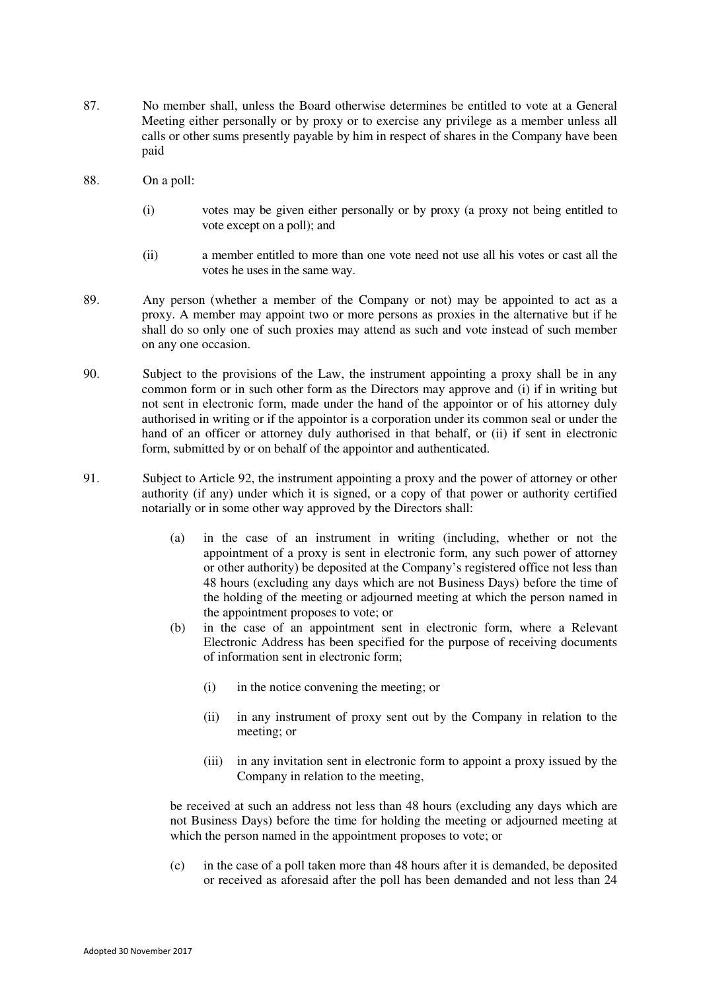- 87. No member shall, unless the Board otherwise determines be entitled to vote at a General Meeting either personally or by proxy or to exercise any privilege as a member unless all calls or other sums presently payable by him in respect of shares in the Company have been paid
- 88. On a poll:
	- (i) votes may be given either personally or by proxy (a proxy not being entitled to vote except on a poll); and
	- (ii) a member entitled to more than one vote need not use all his votes or cast all the votes he uses in the same way.
- 89. Any person (whether a member of the Company or not) may be appointed to act as a proxy. A member may appoint two or more persons as proxies in the alternative but if he shall do so only one of such proxies may attend as such and vote instead of such member on any one occasion.
- 90. Subject to the provisions of the Law, the instrument appointing a proxy shall be in any common form or in such other form as the Directors may approve and (i) if in writing but not sent in electronic form, made under the hand of the appointor or of his attorney duly authorised in writing or if the appointor is a corporation under its common seal or under the hand of an officer or attorney duly authorised in that behalf, or (ii) if sent in electronic form, submitted by or on behalf of the appointor and authenticated.
- <span id="page-19-0"></span>91. Subject to Article [92,](#page-20-0) the instrument appointing a proxy and the power of attorney or other authority (if any) under which it is signed, or a copy of that power or authority certified notarially or in some other way approved by the Directors shall:
	- (a) in the case of an instrument in writing (including, whether or not the appointment of a proxy is sent in electronic form, any such power of attorney or other authority) be deposited at the Company's registered office not less than 48 hours (excluding any days which are not Business Days) before the time of the holding of the meeting or adjourned meeting at which the person named in the appointment proposes to vote; or
	- (b) in the case of an appointment sent in electronic form, where a Relevant Electronic Address has been specified for the purpose of receiving documents of information sent in electronic form;
		- (i) in the notice convening the meeting; or
		- (ii) in any instrument of proxy sent out by the Company in relation to the meeting; or
		- (iii) in any invitation sent in electronic form to appoint a proxy issued by the Company in relation to the meeting,

be received at such an address not less than 48 hours (excluding any days which are not Business Days) before the time for holding the meeting or adjourned meeting at which the person named in the appointment proposes to vote; or

(c) in the case of a poll taken more than 48 hours after it is demanded, be deposited or received as aforesaid after the poll has been demanded and not less than 24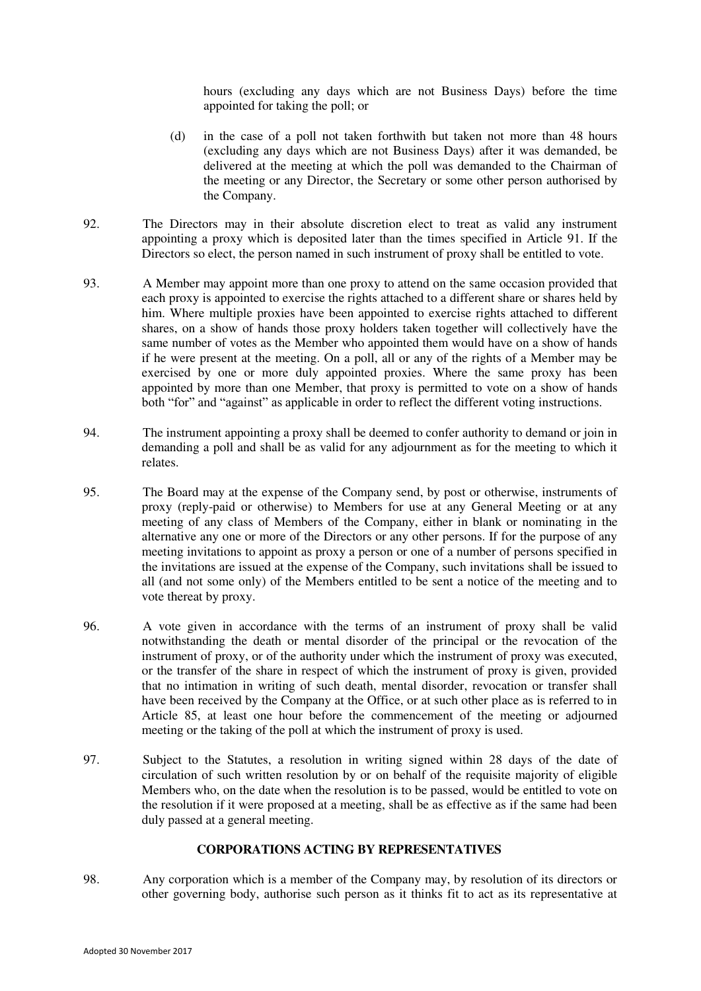hours (excluding any days which are not Business Days) before the time appointed for taking the poll; or

- (d) in the case of a poll not taken forthwith but taken not more than 48 hours (excluding any days which are not Business Days) after it was demanded, be delivered at the meeting at which the poll was demanded to the Chairman of the meeting or any Director, the Secretary or some other person authorised by the Company.
- <span id="page-20-0"></span>92. The Directors may in their absolute discretion elect to treat as valid any instrument appointing a proxy which is deposited later than the times specified in Article [91.](#page-19-0) If the Directors so elect, the person named in such instrument of proxy shall be entitled to vote.
- 93. A Member may appoint more than one proxy to attend on the same occasion provided that each proxy is appointed to exercise the rights attached to a different share or shares held by him. Where multiple proxies have been appointed to exercise rights attached to different shares, on a show of hands those proxy holders taken together will collectively have the same number of votes as the Member who appointed them would have on a show of hands if he were present at the meeting. On a poll, all or any of the rights of a Member may be exercised by one or more duly appointed proxies. Where the same proxy has been appointed by more than one Member, that proxy is permitted to vote on a show of hands both "for" and "against" as applicable in order to reflect the different voting instructions.
- 94. The instrument appointing a proxy shall be deemed to confer authority to demand or join in demanding a poll and shall be as valid for any adjournment as for the meeting to which it relates.
- 95. The Board may at the expense of the Company send, by post or otherwise, instruments of proxy (reply-paid or otherwise) to Members for use at any General Meeting or at any meeting of any class of Members of the Company, either in blank or nominating in the alternative any one or more of the Directors or any other persons. If for the purpose of any meeting invitations to appoint as proxy a person or one of a number of persons specified in the invitations are issued at the expense of the Company, such invitations shall be issued to all (and not some only) of the Members entitled to be sent a notice of the meeting and to vote thereat by proxy.
- 96. A vote given in accordance with the terms of an instrument of proxy shall be valid notwithstanding the death or mental disorder of the principal or the revocation of the instrument of proxy, or of the authority under which the instrument of proxy was executed, or the transfer of the share in respect of which the instrument of proxy is given, provided that no intimation in writing of such death, mental disorder, revocation or transfer shall have been received by the Company at the Office, or at such other place as is referred to in Article [85,](#page-18-0) at least one hour before the commencement of the meeting or adjourned meeting or the taking of the poll at which the instrument of proxy is used.
- 97. Subject to the Statutes, a resolution in writing signed within 28 days of the date of circulation of such written resolution by or on behalf of the requisite majority of eligible Members who, on the date when the resolution is to be passed, would be entitled to vote on the resolution if it were proposed at a meeting, shall be as effective as if the same had been duly passed at a general meeting.

## **CORPORATIONS ACTING BY REPRESENTATIVES**

<span id="page-20-1"></span>98. Any corporation which is a member of the Company may, by resolution of its directors or other governing body, authorise such person as it thinks fit to act as its representative at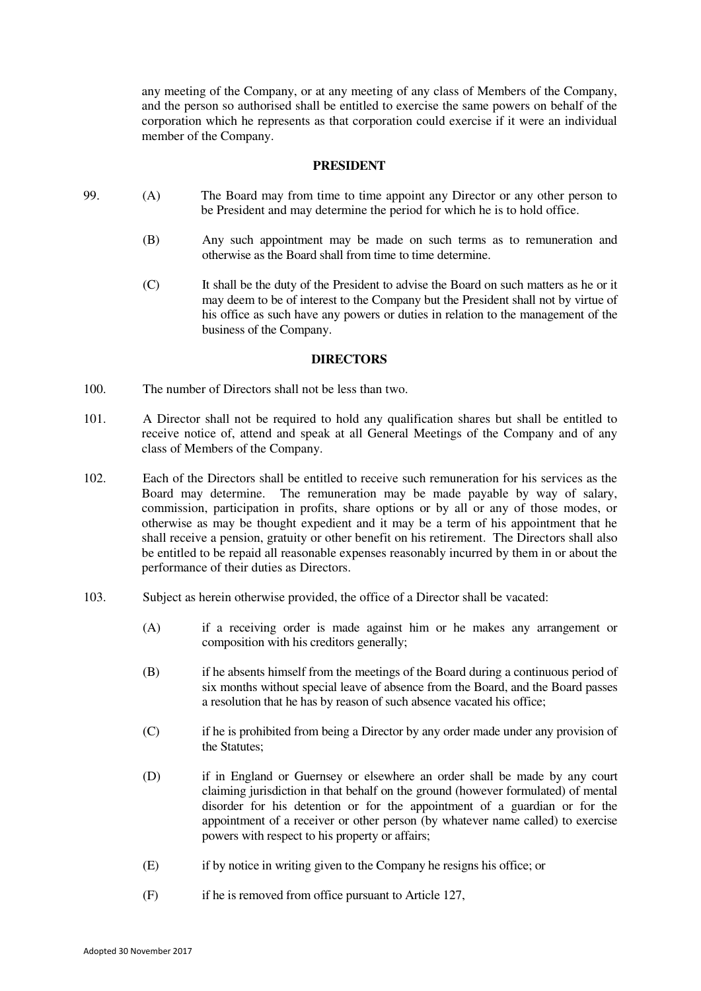any meeting of the Company, or at any meeting of any class of Members of the Company, and the person so authorised shall be entitled to exercise the same powers on behalf of the corporation which he represents as that corporation could exercise if it were an individual member of the Company.

#### **PRESIDENT**

- <span id="page-21-0"></span>99. (A) The Board may from time to time appoint any Director or any other person to be President and may determine the period for which he is to hold office.
	- (B) Any such appointment may be made on such terms as to remuneration and otherwise as the Board shall from time to time determine.
	- (C) It shall be the duty of the President to advise the Board on such matters as he or it may deem to be of interest to the Company but the President shall not by virtue of his office as such have any powers or duties in relation to the management of the business of the Company.

#### **DIRECTORS**

- <span id="page-21-1"></span>100. The number of Directors shall not be less than two.
- 101. A Director shall not be required to hold any qualification shares but shall be entitled to receive notice of, attend and speak at all General Meetings of the Company and of any class of Members of the Company.
- 102. Each of the Directors shall be entitled to receive such remuneration for his services as the Board may determine. The remuneration may be made payable by way of salary, commission, participation in profits, share options or by all or any of those modes, or otherwise as may be thought expedient and it may be a term of his appointment that he shall receive a pension, gratuity or other benefit on his retirement. The Directors shall also be entitled to be repaid all reasonable expenses reasonably incurred by them in or about the performance of their duties as Directors.
- 103. Subject as herein otherwise provided, the office of a Director shall be vacated:
	- (A) if a receiving order is made against him or he makes any arrangement or composition with his creditors generally;
	- (B) if he absents himself from the meetings of the Board during a continuous period of six months without special leave of absence from the Board, and the Board passes a resolution that he has by reason of such absence vacated his office;
	- (C) if he is prohibited from being a Director by any order made under any provision of the Statutes;
	- (D) if in England or Guernsey or elsewhere an order shall be made by any court claiming jurisdiction in that behalf on the ground (however formulated) of mental disorder for his detention or for the appointment of a guardian or for the appointment of a receiver or other person (by whatever name called) to exercise powers with respect to his property or affairs;
	- (E) if by notice in writing given to the Company he resigns his office; or
	- (F) if he is removed from office pursuant to Article [127,](#page-26-0)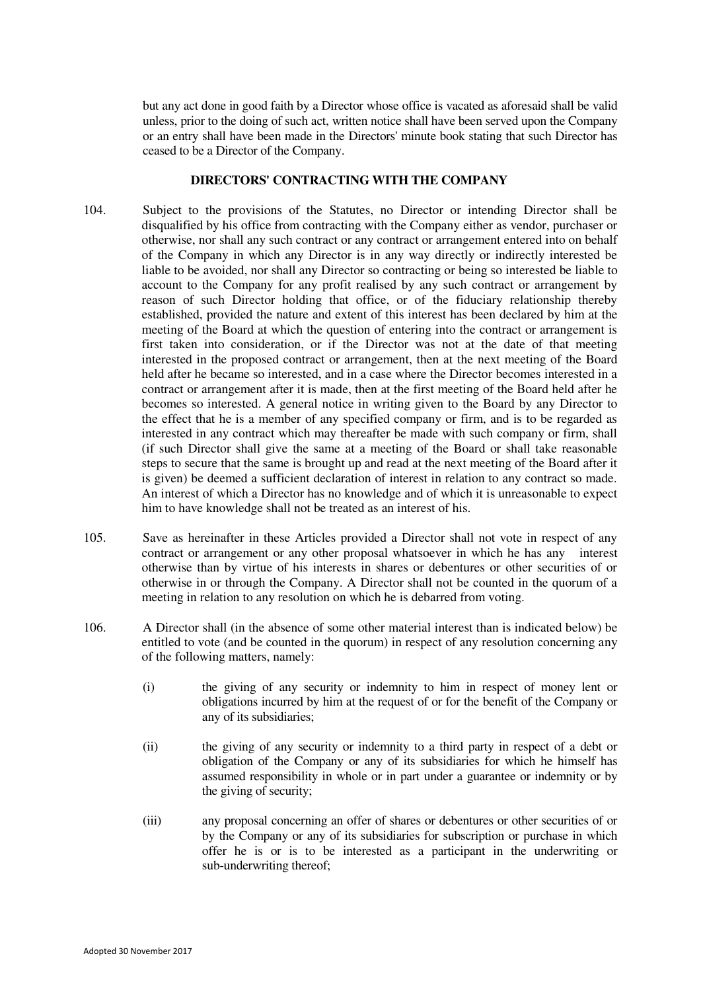but any act done in good faith by a Director whose office is vacated as aforesaid shall be valid unless, prior to the doing of such act, written notice shall have been served upon the Company or an entry shall have been made in the Directors' minute book stating that such Director has ceased to be a Director of the Company.

# **DIRECTORS' CONTRACTING WITH THE COMPANY**

- <span id="page-22-1"></span>104. Subject to the provisions of the Statutes, no Director or intending Director shall be disqualified by his office from contracting with the Company either as vendor, purchaser or otherwise, nor shall any such contract or any contract or arrangement entered into on behalf of the Company in which any Director is in any way directly or indirectly interested be liable to be avoided, nor shall any Director so contracting or being so interested be liable to account to the Company for any profit realised by any such contract or arrangement by reason of such Director holding that office, or of the fiduciary relationship thereby established, provided the nature and extent of this interest has been declared by him at the meeting of the Board at which the question of entering into the contract or arrangement is first taken into consideration, or if the Director was not at the date of that meeting interested in the proposed contract or arrangement, then at the next meeting of the Board held after he became so interested, and in a case where the Director becomes interested in a contract or arrangement after it is made, then at the first meeting of the Board held after he becomes so interested. A general notice in writing given to the Board by any Director to the effect that he is a member of any specified company or firm, and is to be regarded as interested in any contract which may thereafter be made with such company or firm, shall (if such Director shall give the same at a meeting of the Board or shall take reasonable steps to secure that the same is brought up and read at the next meeting of the Board after it is given) be deemed a sufficient declaration of interest in relation to any contract so made. An interest of which a Director has no knowledge and of which it is unreasonable to expect him to have knowledge shall not be treated as an interest of his.
- 105. Save as hereinafter in these Articles provided a Director shall not vote in respect of any contract or arrangement or any other proposal whatsoever in which he has any interest otherwise than by virtue of his interests in shares or debentures or other securities of or otherwise in or through the Company. A Director shall not be counted in the quorum of a meeting in relation to any resolution on which he is debarred from voting.
- <span id="page-22-0"></span>106. A Director shall (in the absence of some other material interest than is indicated below) be entitled to vote (and be counted in the quorum) in respect of any resolution concerning any of the following matters, namely:
	- (i) the giving of any security or indemnity to him in respect of money lent or obligations incurred by him at the request of or for the benefit of the Company or any of its subsidiaries;
	- (ii) the giving of any security or indemnity to a third party in respect of a debt or obligation of the Company or any of its subsidiaries for which he himself has assumed responsibility in whole or in part under a guarantee or indemnity or by the giving of security;
	- (iii) any proposal concerning an offer of shares or debentures or other securities of or by the Company or any of its subsidiaries for subscription or purchase in which offer he is or is to be interested as a participant in the underwriting or sub-underwriting thereof;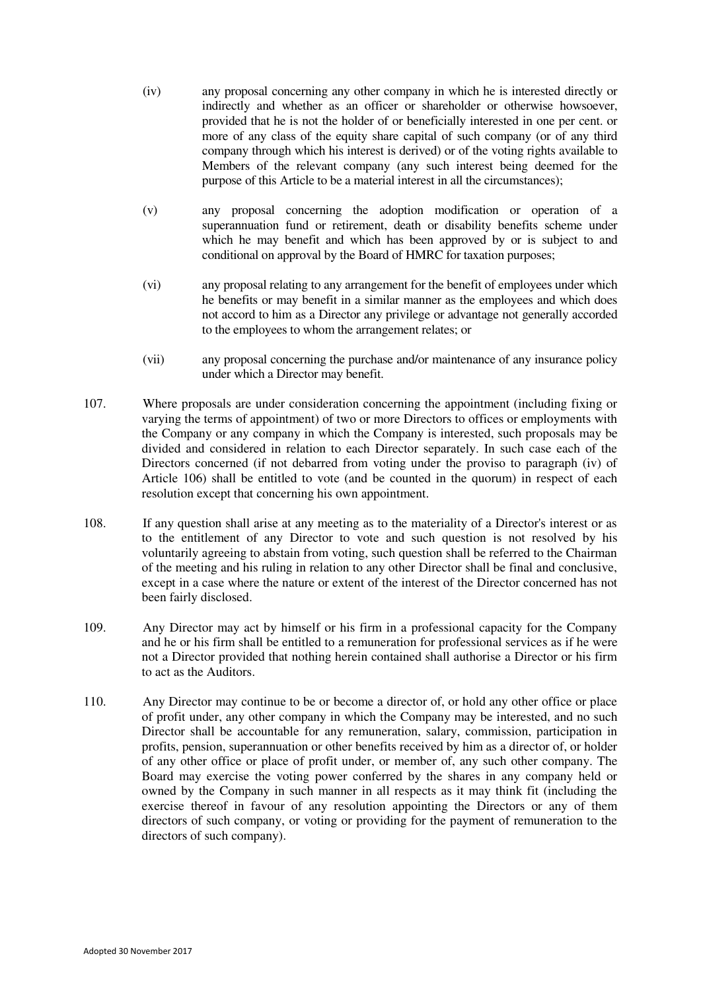- (iv) any proposal concerning any other company in which he is interested directly or indirectly and whether as an officer or shareholder or otherwise howsoever, provided that he is not the holder of or beneficially interested in one per cent. or more of any class of the equity share capital of such company (or of any third company through which his interest is derived) or of the voting rights available to Members of the relevant company (any such interest being deemed for the purpose of this Article to be a material interest in all the circumstances);
- (v) any proposal concerning the adoption modification or operation of a superannuation fund or retirement, death or disability benefits scheme under which he may benefit and which has been approved by or is subject to and conditional on approval by the Board of HMRC for taxation purposes;
- (vi) any proposal relating to any arrangement for the benefit of employees under which he benefits or may benefit in a similar manner as the employees and which does not accord to him as a Director any privilege or advantage not generally accorded to the employees to whom the arrangement relates; or
- (vii) any proposal concerning the purchase and/or maintenance of any insurance policy under which a Director may benefit.
- 107. Where proposals are under consideration concerning the appointment (including fixing or varying the terms of appointment) of two or more Directors to offices or employments with the Company or any company in which the Company is interested, such proposals may be divided and considered in relation to each Director separately. In such case each of the Directors concerned (if not debarred from voting under the proviso to paragraph (iv) of Article [106\)](#page-22-0) shall be entitled to vote (and be counted in the quorum) in respect of each resolution except that concerning his own appointment.
- 108. If any question shall arise at any meeting as to the materiality of a Director's interest or as to the entitlement of any Director to vote and such question is not resolved by his voluntarily agreeing to abstain from voting, such question shall be referred to the Chairman of the meeting and his ruling in relation to any other Director shall be final and conclusive, except in a case where the nature or extent of the interest of the Director concerned has not been fairly disclosed.
- 109. Any Director may act by himself or his firm in a professional capacity for the Company and he or his firm shall be entitled to a remuneration for professional services as if he were not a Director provided that nothing herein contained shall authorise a Director or his firm to act as the Auditors.
- 110. Any Director may continue to be or become a director of, or hold any other office or place of profit under, any other company in which the Company may be interested, and no such Director shall be accountable for any remuneration, salary, commission, participation in profits, pension, superannuation or other benefits received by him as a director of, or holder of any other office or place of profit under, or member of, any such other company. The Board may exercise the voting power conferred by the shares in any company held or owned by the Company in such manner in all respects as it may think fit (including the exercise thereof in favour of any resolution appointing the Directors or any of them directors of such company, or voting or providing for the payment of remuneration to the directors of such company).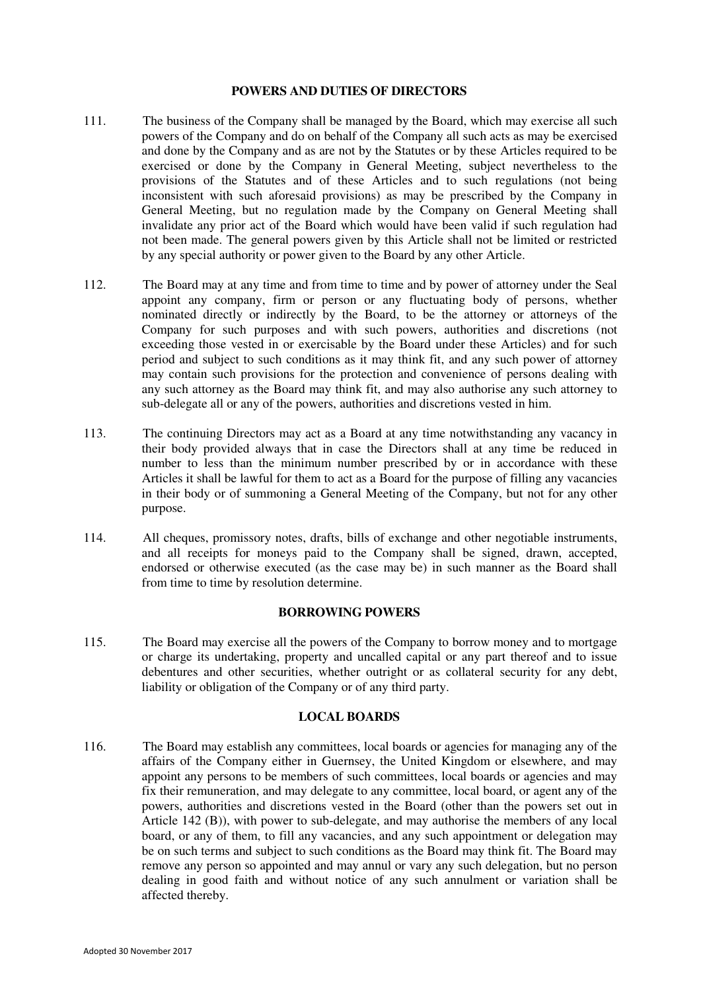#### **POWERS AND DUTIES OF DIRECTORS**

- <span id="page-24-2"></span>111. The business of the Company shall be managed by the Board, which may exercise all such powers of the Company and do on behalf of the Company all such acts as may be exercised and done by the Company and as are not by the Statutes or by these Articles required to be exercised or done by the Company in General Meeting, subject nevertheless to the provisions of the Statutes and of these Articles and to such regulations (not being inconsistent with such aforesaid provisions) as may be prescribed by the Company in General Meeting, but no regulation made by the Company on General Meeting shall invalidate any prior act of the Board which would have been valid if such regulation had not been made. The general powers given by this Article shall not be limited or restricted by any special authority or power given to the Board by any other Article.
- <span id="page-24-1"></span>112. The Board may at any time and from time to time and by power of attorney under the Seal appoint any company, firm or person or any fluctuating body of persons, whether nominated directly or indirectly by the Board, to be the attorney or attorneys of the Company for such purposes and with such powers, authorities and discretions (not exceeding those vested in or exercisable by the Board under these Articles) and for such period and subject to such conditions as it may think fit, and any such power of attorney may contain such provisions for the protection and convenience of persons dealing with any such attorney as the Board may think fit, and may also authorise any such attorney to sub-delegate all or any of the powers, authorities and discretions vested in him.
- 113. The continuing Directors may act as a Board at any time notwithstanding any vacancy in their body provided always that in case the Directors shall at any time be reduced in number to less than the minimum number prescribed by or in accordance with these Articles it shall be lawful for them to act as a Board for the purpose of filling any vacancies in their body or of summoning a General Meeting of the Company, but not for any other purpose.
- 114. All cheques, promissory notes, drafts, bills of exchange and other negotiable instruments, and all receipts for moneys paid to the Company shall be signed, drawn, accepted, endorsed or otherwise executed (as the case may be) in such manner as the Board shall from time to time by resolution determine.

### **BORROWING POWERS**

<span id="page-24-3"></span>115. The Board may exercise all the powers of the Company to borrow money and to mortgage or charge its undertaking, property and uncalled capital or any part thereof and to issue debentures and other securities, whether outright or as collateral security for any debt, liability or obligation of the Company or of any third party.

#### **LOCAL BOARDS**

<span id="page-24-0"></span>116. The Board may establish any committees, local boards or agencies for managing any of the affairs of the Company either in Guernsey, the United Kingdom or elsewhere, and may appoint any persons to be members of such committees, local boards or agencies and may fix their remuneration, and may delegate to any committee, local board, or agent any of the powers, authorities and discretions vested in the Board (other than the powers set out in Article [142](#page-29-0) (B)), with power to sub-delegate, and may authorise the members of any local board, or any of them, to fill any vacancies, and any such appointment or delegation may be on such terms and subject to such conditions as the Board may think fit. The Board may remove any person so appointed and may annul or vary any such delegation, but no person dealing in good faith and without notice of any such annulment or variation shall be affected thereby.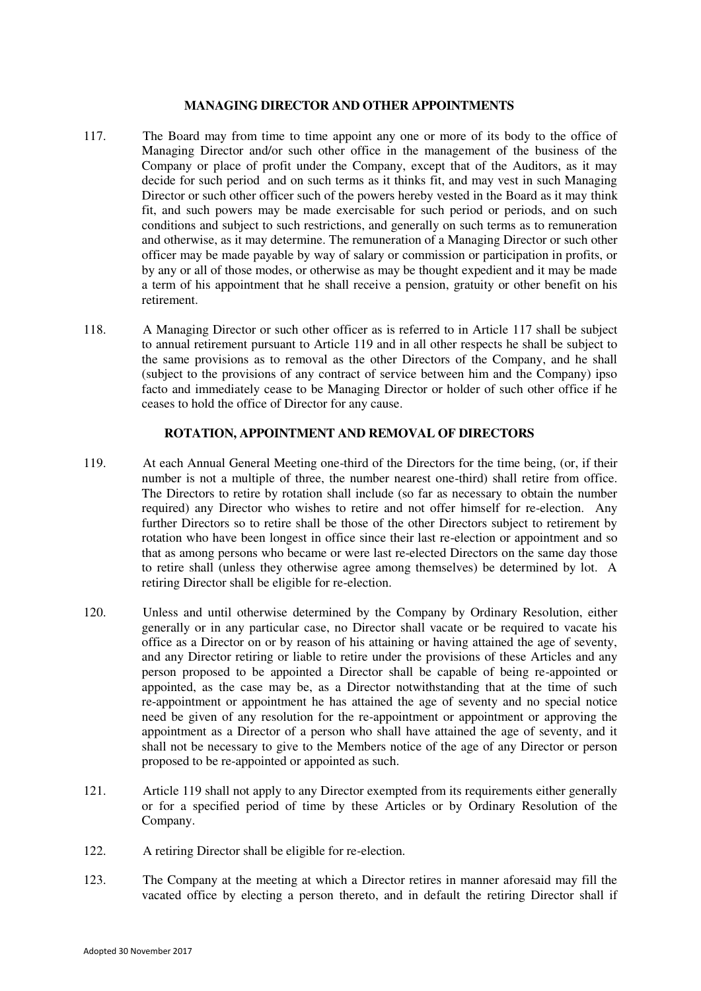#### **MANAGING DIRECTOR AND OTHER APPOINTMENTS**

- <span id="page-25-0"></span>117. The Board may from time to time appoint any one or more of its body to the office of Managing Director and/or such other office in the management of the business of the Company or place of profit under the Company, except that of the Auditors, as it may decide for such period and on such terms as it thinks fit, and may vest in such Managing Director or such other officer such of the powers hereby vested in the Board as it may think fit, and such powers may be made exercisable for such period or periods, and on such conditions and subject to such restrictions, and generally on such terms as to remuneration and otherwise, as it may determine. The remuneration of a Managing Director or such other officer may be made payable by way of salary or commission or participation in profits, or by any or all of those modes, or otherwise as may be thought expedient and it may be made a term of his appointment that he shall receive a pension, gratuity or other benefit on his retirement.
- 118. A Managing Director or such other officer as is referred to in Article [117](#page-25-0) shall be subject to annual retirement pursuant to Article [119](#page-25-1) and in all other respects he shall be subject to the same provisions as to removal as the other Directors of the Company, and he shall (subject to the provisions of any contract of service between him and the Company) ipso facto and immediately cease to be Managing Director or holder of such other office if he ceases to hold the office of Director for any cause.

#### **ROTATION, APPOINTMENT AND REMOVAL OF DIRECTORS**

- <span id="page-25-1"></span>119. At each Annual General Meeting one-third of the Directors for the time being, (or, if their number is not a multiple of three, the number nearest one-third) shall retire from office. The Directors to retire by rotation shall include (so far as necessary to obtain the number required) any Director who wishes to retire and not offer himself for re-election. Any further Directors so to retire shall be those of the other Directors subject to retirement by rotation who have been longest in office since their last re-election or appointment and so that as among persons who became or were last re-elected Directors on the same day those to retire shall (unless they otherwise agree among themselves) be determined by lot. A retiring Director shall be eligible for re-election.
- 120. Unless and until otherwise determined by the Company by Ordinary Resolution, either generally or in any particular case, no Director shall vacate or be required to vacate his office as a Director on or by reason of his attaining or having attained the age of seventy, and any Director retiring or liable to retire under the provisions of these Articles and any person proposed to be appointed a Director shall be capable of being re-appointed or appointed, as the case may be, as a Director notwithstanding that at the time of such re-appointment or appointment he has attained the age of seventy and no special notice need be given of any resolution for the re-appointment or appointment or approving the appointment as a Director of a person who shall have attained the age of seventy, and it shall not be necessary to give to the Members notice of the age of any Director or person proposed to be re-appointed or appointed as such.
- 121. Articl[e 119](#page-25-1) shall not apply to any Director exempted from its requirements either generally or for a specified period of time by these Articles or by Ordinary Resolution of the Company.
- 122. A retiring Director shall be eligible for re-election.
- 123. The Company at the meeting at which a Director retires in manner aforesaid may fill the vacated office by electing a person thereto, and in default the retiring Director shall if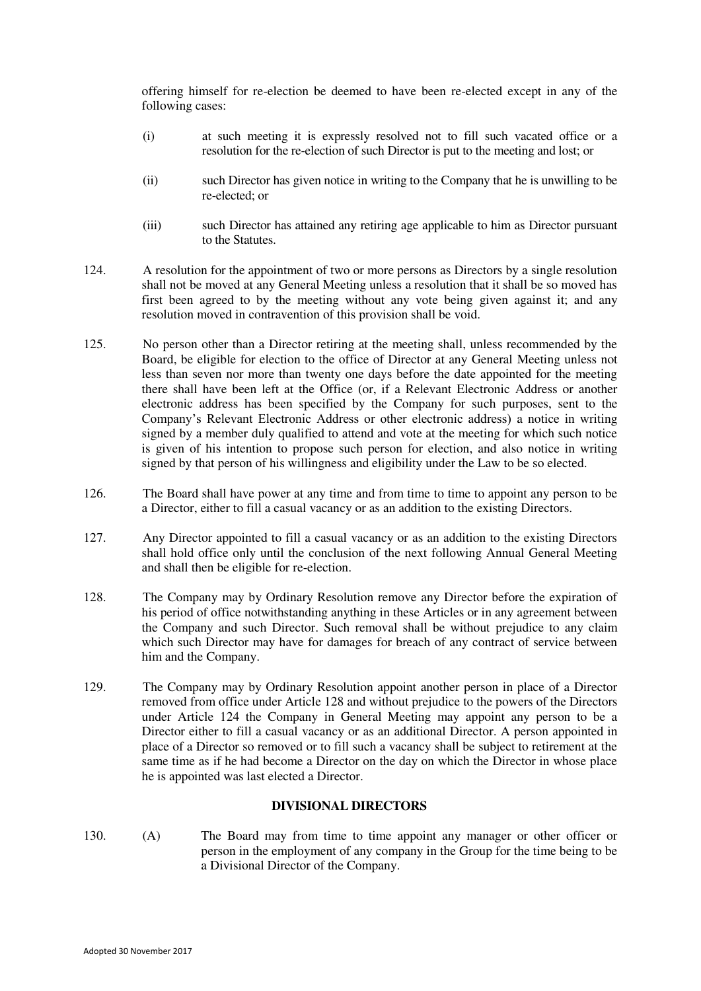offering himself for re-election be deemed to have been re-elected except in any of the following cases:

- (i) at such meeting it is expressly resolved not to fill such vacated office or a resolution for the re-election of such Director is put to the meeting and lost; or
- (ii) such Director has given notice in writing to the Company that he is unwilling to be re-elected; or
- (iii) such Director has attained any retiring age applicable to him as Director pursuant to the Statutes.
- <span id="page-26-2"></span>124. A resolution for the appointment of two or more persons as Directors by a single resolution shall not be moved at any General Meeting unless a resolution that it shall be so moved has first been agreed to by the meeting without any vote being given against it; and any resolution moved in contravention of this provision shall be void.
- 125. No person other than a Director retiring at the meeting shall, unless recommended by the Board, be eligible for election to the office of Director at any General Meeting unless not less than seven nor more than twenty one days before the date appointed for the meeting there shall have been left at the Office (or, if a Relevant Electronic Address or another electronic address has been specified by the Company for such purposes, sent to the Company's Relevant Electronic Address or other electronic address) a notice in writing signed by a member duly qualified to attend and vote at the meeting for which such notice is given of his intention to propose such person for election, and also notice in writing signed by that person of his willingness and eligibility under the Law to be so elected.
- <span id="page-26-3"></span>126. The Board shall have power at any time and from time to time to appoint any person to be a Director, either to fill a casual vacancy or as an addition to the existing Directors.
- <span id="page-26-0"></span>127. Any Director appointed to fill a casual vacancy or as an addition to the existing Directors shall hold office only until the conclusion of the next following Annual General Meeting and shall then be eligible for re-election.
- <span id="page-26-1"></span>128. The Company may by Ordinary Resolution remove any Director before the expiration of his period of office notwithstanding anything in these Articles or in any agreement between the Company and such Director. Such removal shall be without prejudice to any claim which such Director may have for damages for breach of any contract of service between him and the Company.
- 129. The Company may by Ordinary Resolution appoint another person in place of a Director removed from office under Article [128](#page-26-1) and without prejudice to the powers of the Directors under Article [124](#page-26-2) the Company in General Meeting may appoint any person to be a Director either to fill a casual vacancy or as an additional Director. A person appointed in place of a Director so removed or to fill such a vacancy shall be subject to retirement at the same time as if he had become a Director on the day on which the Director in whose place he is appointed was last elected a Director.

# **DIVISIONAL DIRECTORS**

<span id="page-26-4"></span>130. (A) The Board may from time to time appoint any manager or other officer or person in the employment of any company in the Group for the time being to be a Divisional Director of the Company.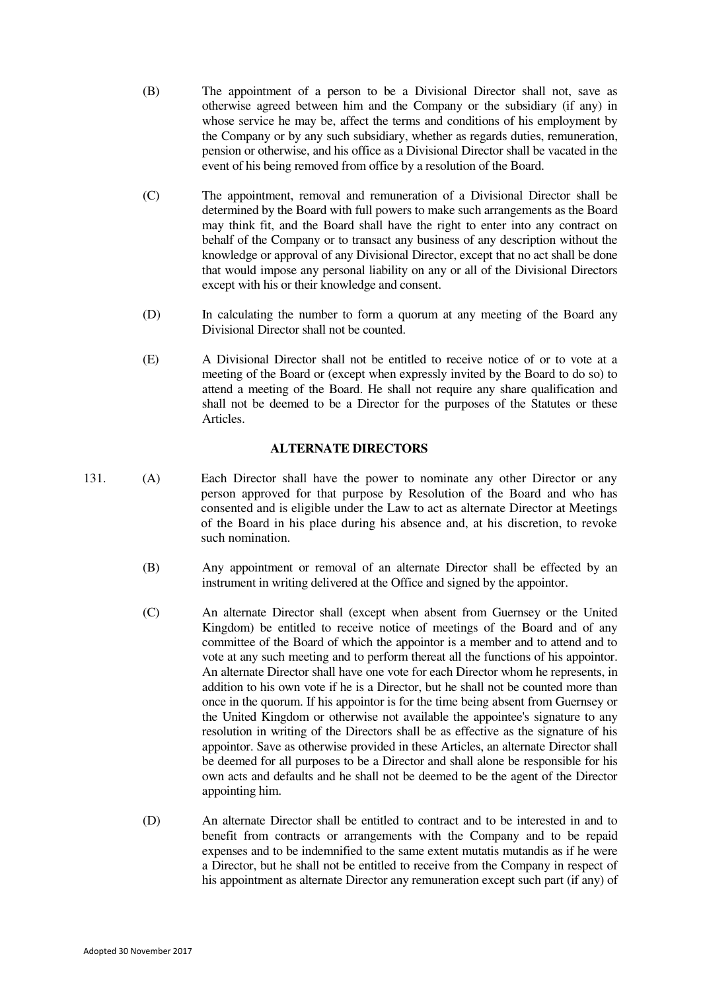- (B) The appointment of a person to be a Divisional Director shall not, save as otherwise agreed between him and the Company or the subsidiary (if any) in whose service he may be, affect the terms and conditions of his employment by the Company or by any such subsidiary, whether as regards duties, remuneration, pension or otherwise, and his office as a Divisional Director shall be vacated in the event of his being removed from office by a resolution of the Board.
- (C) The appointment, removal and remuneration of a Divisional Director shall be determined by the Board with full powers to make such arrangements as the Board may think fit, and the Board shall have the right to enter into any contract on behalf of the Company or to transact any business of any description without the knowledge or approval of any Divisional Director, except that no act shall be done that would impose any personal liability on any or all of the Divisional Directors except with his or their knowledge and consent.
- (D) In calculating the number to form a quorum at any meeting of the Board any Divisional Director shall not be counted.
- (E) A Divisional Director shall not be entitled to receive notice of or to vote at a meeting of the Board or (except when expressly invited by the Board to do so) to attend a meeting of the Board. He shall not require any share qualification and shall not be deemed to be a Director for the purposes of the Statutes or these Articles.

#### **ALTERNATE DIRECTORS**

- <span id="page-27-0"></span>131. (A) Each Director shall have the power to nominate any other Director or any person approved for that purpose by Resolution of the Board and who has consented and is eligible under the Law to act as alternate Director at Meetings of the Board in his place during his absence and, at his discretion, to revoke such nomination.
	- (B) Any appointment or removal of an alternate Director shall be effected by an instrument in writing delivered at the Office and signed by the appointor.
	- (C) An alternate Director shall (except when absent from Guernsey or the United Kingdom) be entitled to receive notice of meetings of the Board and of any committee of the Board of which the appointor is a member and to attend and to vote at any such meeting and to perform thereat all the functions of his appointor. An alternate Director shall have one vote for each Director whom he represents, in addition to his own vote if he is a Director, but he shall not be counted more than once in the quorum. If his appointor is for the time being absent from Guernsey or the United Kingdom or otherwise not available the appointee's signature to any resolution in writing of the Directors shall be as effective as the signature of his appointor. Save as otherwise provided in these Articles, an alternate Director shall be deemed for all purposes to be a Director and shall alone be responsible for his own acts and defaults and he shall not be deemed to be the agent of the Director appointing him.
	- (D) An alternate Director shall be entitled to contract and to be interested in and to benefit from contracts or arrangements with the Company and to be repaid expenses and to be indemnified to the same extent mutatis mutandis as if he were a Director, but he shall not be entitled to receive from the Company in respect of his appointment as alternate Director any remuneration except such part (if any) of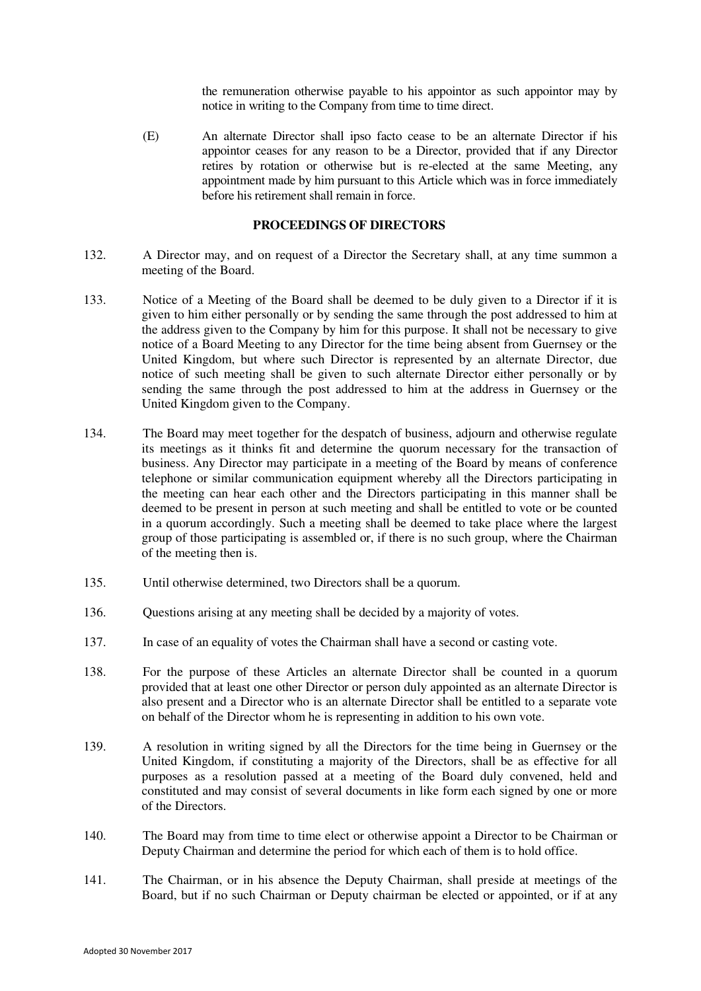the remuneration otherwise payable to his appointor as such appointor may by notice in writing to the Company from time to time direct.

 (E) An alternate Director shall ipso facto cease to be an alternate Director if his appointor ceases for any reason to be a Director, provided that if any Director retires by rotation or otherwise but is re-elected at the same Meeting, any appointment made by him pursuant to this Article which was in force immediately before his retirement shall remain in force.

#### **PROCEEDINGS OF DIRECTORS**

- <span id="page-28-0"></span>132. A Director may, and on request of a Director the Secretary shall, at any time summon a meeting of the Board.
- 133. Notice of a Meeting of the Board shall be deemed to be duly given to a Director if it is given to him either personally or by sending the same through the post addressed to him at the address given to the Company by him for this purpose. It shall not be necessary to give notice of a Board Meeting to any Director for the time being absent from Guernsey or the United Kingdom, but where such Director is represented by an alternate Director, due notice of such meeting shall be given to such alternate Director either personally or by sending the same through the post addressed to him at the address in Guernsey or the United Kingdom given to the Company.
- 134. The Board may meet together for the despatch of business, adjourn and otherwise regulate its meetings as it thinks fit and determine the quorum necessary for the transaction of business. Any Director may participate in a meeting of the Board by means of conference telephone or similar communication equipment whereby all the Directors participating in the meeting can hear each other and the Directors participating in this manner shall be deemed to be present in person at such meeting and shall be entitled to vote or be counted in a quorum accordingly. Such a meeting shall be deemed to take place where the largest group of those participating is assembled or, if there is no such group, where the Chairman of the meeting then is.
- 135. Until otherwise determined, two Directors shall be a quorum.
- 136. Questions arising at any meeting shall be decided by a majority of votes.
- 137. In case of an equality of votes the Chairman shall have a second or casting vote.
- 138. For the purpose of these Articles an alternate Director shall be counted in a quorum provided that at least one other Director or person duly appointed as an alternate Director is also present and a Director who is an alternate Director shall be entitled to a separate vote on behalf of the Director whom he is representing in addition to his own vote.
- 139. A resolution in writing signed by all the Directors for the time being in Guernsey or the United Kingdom, if constituting a majority of the Directors, shall be as effective for all purposes as a resolution passed at a meeting of the Board duly convened, held and constituted and may consist of several documents in like form each signed by one or more of the Directors.
- 140. The Board may from time to time elect or otherwise appoint a Director to be Chairman or Deputy Chairman and determine the period for which each of them is to hold office.
- 141. The Chairman, or in his absence the Deputy Chairman, shall preside at meetings of the Board, but if no such Chairman or Deputy chairman be elected or appointed, or if at any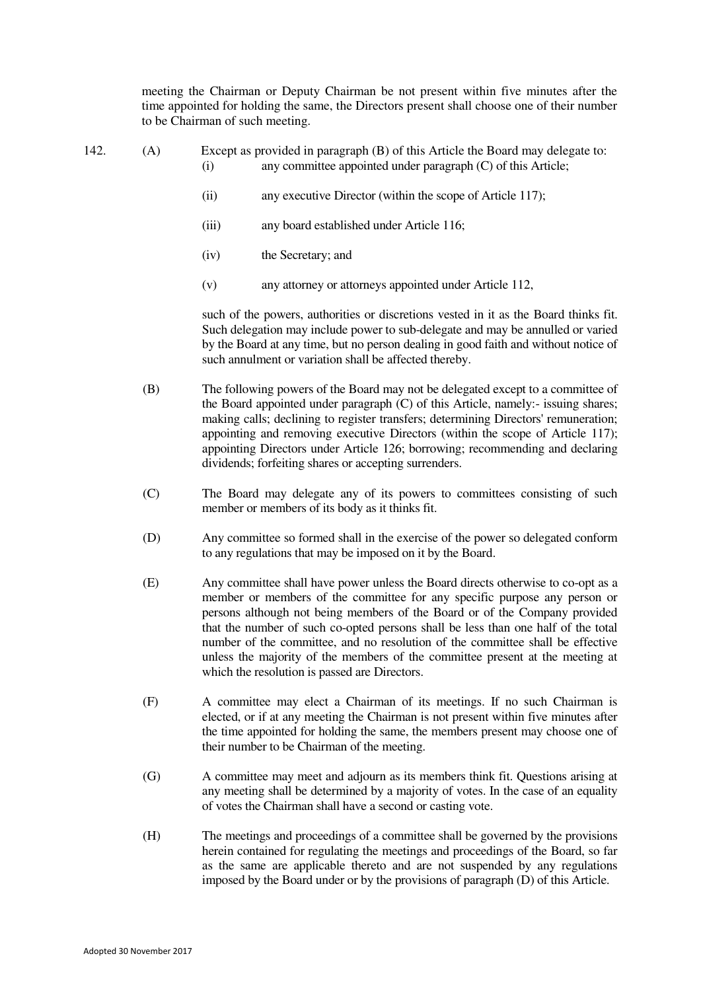meeting the Chairman or Deputy Chairman be not present within five minutes after the time appointed for holding the same, the Directors present shall choose one of their number to be Chairman of such meeting.

- 
- <span id="page-29-0"></span>142. (A) Except as provided in paragraph (B) of this Article the Board may delegate to: (i) any committee appointed under paragraph (C) of this Article;
	- (ii) any executive Director (within the scope of Article [117\)](#page-25-0);
	- (iii) any board established under Article [116;](#page-24-0)
	- (iv) the Secretary; and
	- (v) any attorney or attorneys appointed under Article [112,](#page-24-1)

 such of the powers, authorities or discretions vested in it as the Board thinks fit. Such delegation may include power to sub-delegate and may be annulled or varied by the Board at any time, but no person dealing in good faith and without notice of such annulment or variation shall be affected thereby.

- (B) The following powers of the Board may not be delegated except to a committee of the Board appointed under paragraph (C) of this Article, namely:- issuing shares; making calls; declining to register transfers; determining Directors' remuneration; appointing and removing executive Directors (within the scope of Article [117\)](#page-25-0); appointing Directors under Article [126;](#page-26-3) borrowing; recommending and declaring dividends; forfeiting shares or accepting surrenders.
- (C) The Board may delegate any of its powers to committees consisting of such member or members of its body as it thinks fit.
- (D) Any committee so formed shall in the exercise of the power so delegated conform to any regulations that may be imposed on it by the Board.
- (E) Any committee shall have power unless the Board directs otherwise to co-opt as a member or members of the committee for any specific purpose any person or persons although not being members of the Board or of the Company provided that the number of such co-opted persons shall be less than one half of the total number of the committee, and no resolution of the committee shall be effective unless the majority of the members of the committee present at the meeting at which the resolution is passed are Directors.
- (F) A committee may elect a Chairman of its meetings. If no such Chairman is elected, or if at any meeting the Chairman is not present within five minutes after the time appointed for holding the same, the members present may choose one of their number to be Chairman of the meeting.
- (G) A committee may meet and adjourn as its members think fit. Questions arising at any meeting shall be determined by a majority of votes. In the case of an equality of votes the Chairman shall have a second or casting vote.
- (H) The meetings and proceedings of a committee shall be governed by the provisions herein contained for regulating the meetings and proceedings of the Board, so far as the same are applicable thereto and are not suspended by any regulations imposed by the Board under or by the provisions of paragraph (D) of this Article.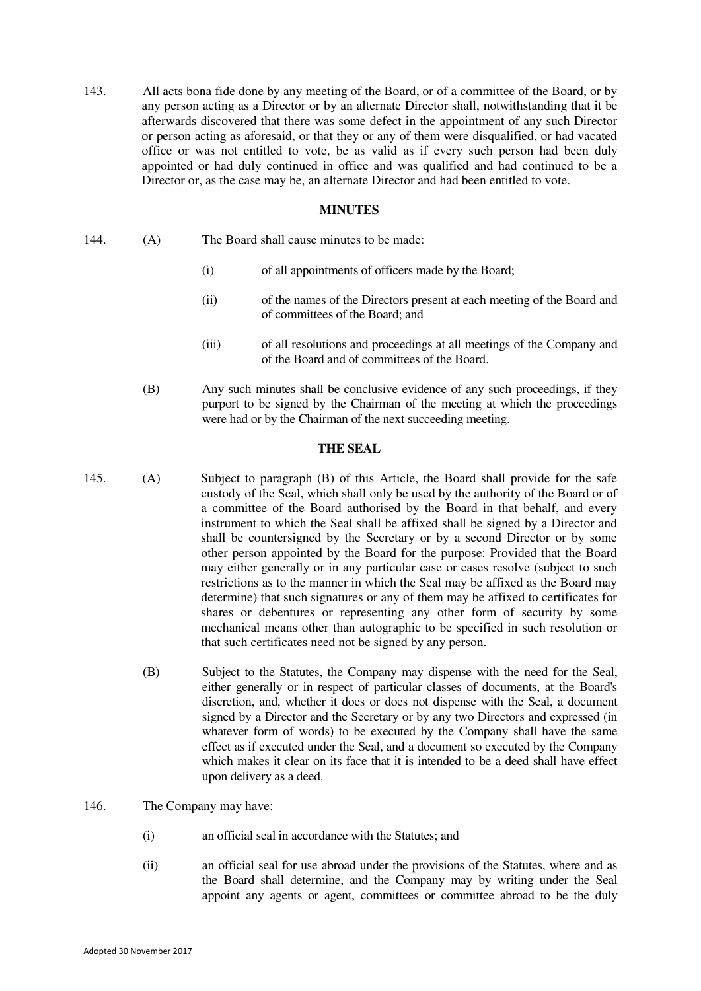<span id="page-30-1"></span>143. All acts bona fide done by any meeting of the Board, or of a committee of the Board, or by any person acting as a Director or by an alternate Director shall, notwithstanding that it be afterwards discovered that there was some defect in the appointment of any such Director or person acting as aforesaid, or that they or any of them were disqualified, or had vacated office or was not entitled to vote, be as valid as if every such person had been duly appointed or had duly continued in office and was qualified and had continued to be a Director or, as the case may be, an alternate Director and had been entitled to vote.

#### **MINUTES**

- <span id="page-30-2"></span>144. (A) The Board shall cause minutes to be made:
	- (i) of all appointments of officers made by the Board;
	- (ii) of the names of the Directors present at each meeting of the Board and of committees of the Board; and
	- (iii) of all resolutions and proceedings at all meetings of the Company and of the Board and of committees of the Board.
	- (B) Any such minutes shall be conclusive evidence of any such proceedings, if they purport to be signed by the Chairman of the meeting at which the proceedings were had or by the Chairman of the next succeeding meeting.

#### **THE SEAL**

- <span id="page-30-0"></span>145. (A) Subject to paragraph (B) of this Article, the Board shall provide for the safe custody of the Seal, which shall only be used by the authority of the Board or of a committee of the Board authorised by the Board in that behalf, and every instrument to which the Seal shall be affixed shall be signed by a Director and shall be countersigned by the Secretary or by a second Director or by some other person appointed by the Board for the purpose: Provided that the Board may either generally or in any particular case or cases resolve (subject to such restrictions as to the manner in which the Seal may be affixed as the Board may determine) that such signatures or any of them may be affixed to certificates for shares or debentures or representing any other form of security by some mechanical means other than autographic to be specified in such resolution or that such certificates need not be signed by any person.
	- (B) Subject to the Statutes, the Company may dispense with the need for the Seal, either generally or in respect of particular classes of documents, at the Board's discretion, and, whether it does or does not dispense with the Seal, a document signed by a Director and the Secretary or by any two Directors and expressed (in whatever form of words) to be executed by the Company shall have the same effect as if executed under the Seal, and a document so executed by the Company which makes it clear on its face that it is intended to be a deed shall have effect upon delivery as a deed.

#### <span id="page-30-3"></span>146. The Company may have:

- (i) an official seal in accordance with the Statutes; and
- (ii) an official seal for use abroad under the provisions of the Statutes, where and as the Board shall determine, and the Company may by writing under the Seal appoint any agents or agent, committees or committee abroad to be the duly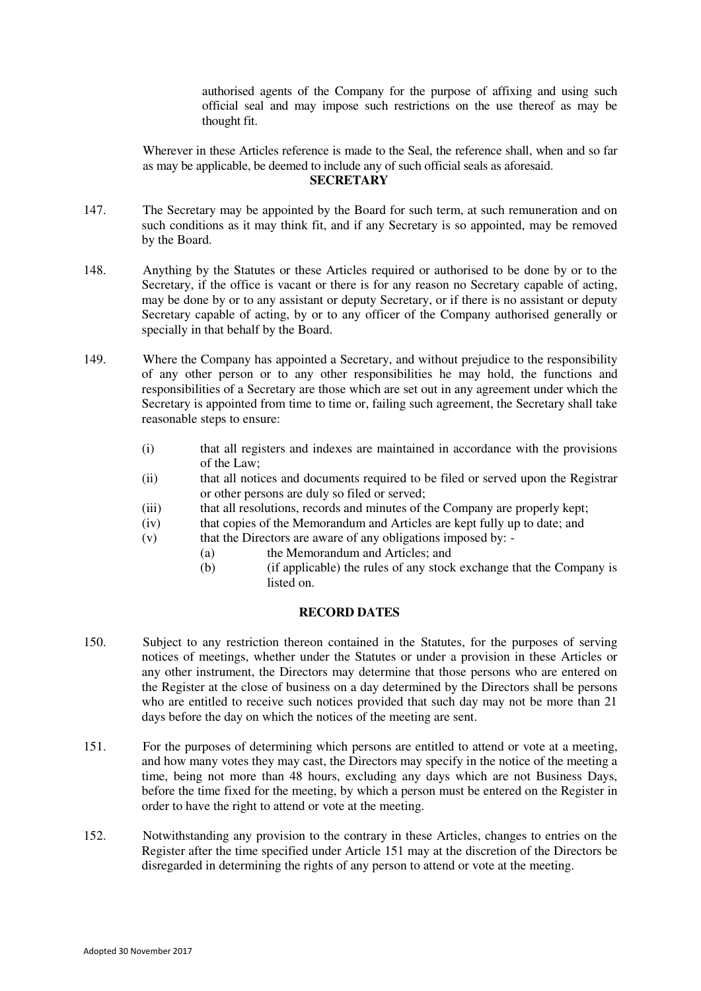authorised agents of the Company for the purpose of affixing and using such official seal and may impose such restrictions on the use thereof as may be thought fit.

 Wherever in these Articles reference is made to the Seal, the reference shall, when and so far as may be applicable, be deemed to include any of such official seals as aforesaid. **SECRETARY** 

- <span id="page-31-2"></span>147. The Secretary may be appointed by the Board for such term, at such remuneration and on such conditions as it may think fit, and if any Secretary is so appointed, may be removed by the Board.
- 148. Anything by the Statutes or these Articles required or authorised to be done by or to the Secretary, if the office is vacant or there is for any reason no Secretary capable of acting, may be done by or to any assistant or deputy Secretary, or if there is no assistant or deputy Secretary capable of acting, by or to any officer of the Company authorised generally or specially in that behalf by the Board.
- 149. Where the Company has appointed a Secretary, and without prejudice to the responsibility of any other person or to any other responsibilities he may hold, the functions and responsibilities of a Secretary are those which are set out in any agreement under which the Secretary is appointed from time to time or, failing such agreement, the Secretary shall take reasonable steps to ensure:
	- (i) that all registers and indexes are maintained in accordance with the provisions of the Law;
	- (ii) that all notices and documents required to be filed or served upon the Registrar or other persons are duly so filed or served;
	- (iii) that all resolutions, records and minutes of the Company are properly kept;
	- (iv) that copies of the Memorandum and Articles are kept fully up to date; and
	- (v) that the Directors are aware of any obligations imposed by:
		- (a) the Memorandum and Articles; and
			- (b) (if applicable) the rules of any stock exchange that the Company is listed on.

## **RECORD DATES**

- <span id="page-31-1"></span>150. Subject to any restriction thereon contained in the Statutes, for the purposes of serving notices of meetings, whether under the Statutes or under a provision in these Articles or any other instrument, the Directors may determine that those persons who are entered on the Register at the close of business on a day determined by the Directors shall be persons who are entitled to receive such notices provided that such day may not be more than 21 days before the day on which the notices of the meeting are sent.
- <span id="page-31-0"></span>151. For the purposes of determining which persons are entitled to attend or vote at a meeting, and how many votes they may cast, the Directors may specify in the notice of the meeting a time, being not more than 48 hours, excluding any days which are not Business Days, before the time fixed for the meeting, by which a person must be entered on the Register in order to have the right to attend or vote at the meeting.
- 152. Notwithstanding any provision to the contrary in these Articles, changes to entries on the Register after the time specified under Article [151](#page-31-0) may at the discretion of the Directors be disregarded in determining the rights of any person to attend or vote at the meeting.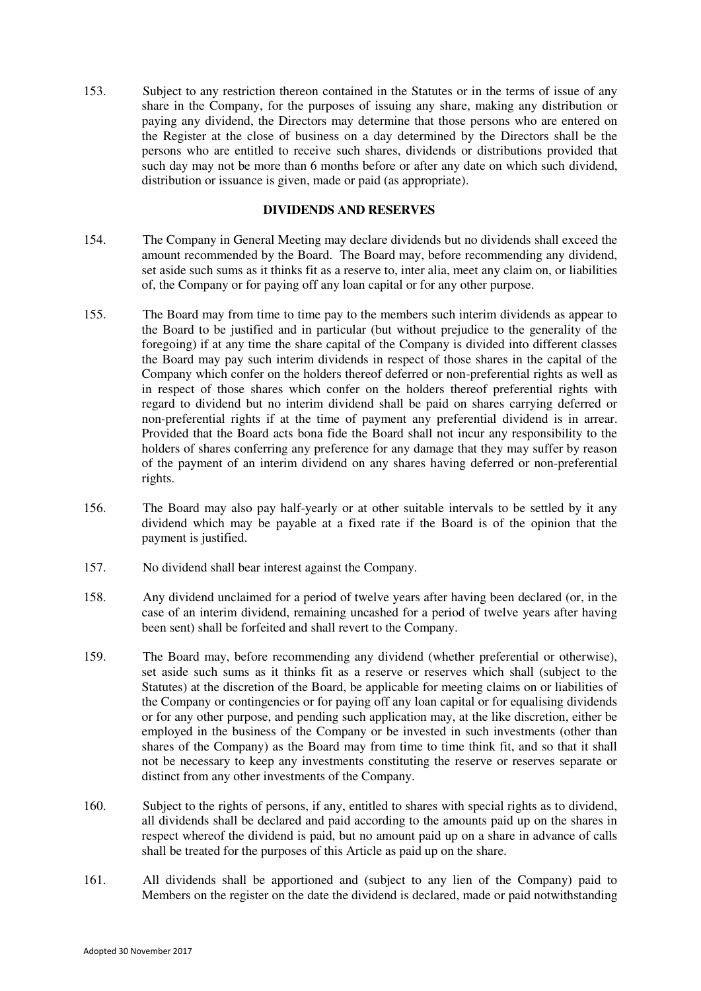153. Subject to any restriction thereon contained in the Statutes or in the terms of issue of any share in the Company, for the purposes of issuing any share, making any distribution or paying any dividend, the Directors may determine that those persons who are entered on the Register at the close of business on a day determined by the Directors shall be the persons who are entitled to receive such shares, dividends or distributions provided that such day may not be more than 6 months before or after any date on which such dividend, distribution or issuance is given, made or paid (as appropriate).

#### **DIVIDENDS AND RESERVES**

- <span id="page-32-0"></span>154. The Company in General Meeting may declare dividends but no dividends shall exceed the amount recommended by the Board. The Board may, before recommending any dividend, set aside such sums as it thinks fit as a reserve to, inter alia, meet any claim on, or liabilities of, the Company or for paying off any loan capital or for any other purpose.
- 155. The Board may from time to time pay to the members such interim dividends as appear to the Board to be justified and in particular (but without prejudice to the generality of the foregoing) if at any time the share capital of the Company is divided into different classes the Board may pay such interim dividends in respect of those shares in the capital of the Company which confer on the holders thereof deferred or non-preferential rights as well as in respect of those shares which confer on the holders thereof preferential rights with regard to dividend but no interim dividend shall be paid on shares carrying deferred or non-preferential rights if at the time of payment any preferential dividend is in arrear. Provided that the Board acts bona fide the Board shall not incur any responsibility to the holders of shares conferring any preference for any damage that they may suffer by reason of the payment of an interim dividend on any shares having deferred or non-preferential rights.
- 156. The Board may also pay half-yearly or at other suitable intervals to be settled by it any dividend which may be payable at a fixed rate if the Board is of the opinion that the payment is justified.
- 157. No dividend shall bear interest against the Company.
- 158. Any dividend unclaimed for a period of twelve years after having been declared (or, in the case of an interim dividend, remaining uncashed for a period of twelve years after having been sent) shall be forfeited and shall revert to the Company.
- 159. The Board may, before recommending any dividend (whether preferential or otherwise), set aside such sums as it thinks fit as a reserve or reserves which shall (subject to the Statutes) at the discretion of the Board, be applicable for meeting claims on or liabilities of the Company or contingencies or for paying off any loan capital or for equalising dividends or for any other purpose, and pending such application may, at the like discretion, either be employed in the business of the Company or be invested in such investments (other than shares of the Company) as the Board may from time to time think fit, and so that it shall not be necessary to keep any investments constituting the reserve or reserves separate or distinct from any other investments of the Company.
- 160. Subject to the rights of persons, if any, entitled to shares with special rights as to dividend, all dividends shall be declared and paid according to the amounts paid up on the shares in respect whereof the dividend is paid, but no amount paid up on a share in advance of calls shall be treated for the purposes of this Article as paid up on the share.
- 161. All dividends shall be apportioned and (subject to any lien of the Company) paid to Members on the register on the date the dividend is declared, made or paid notwithstanding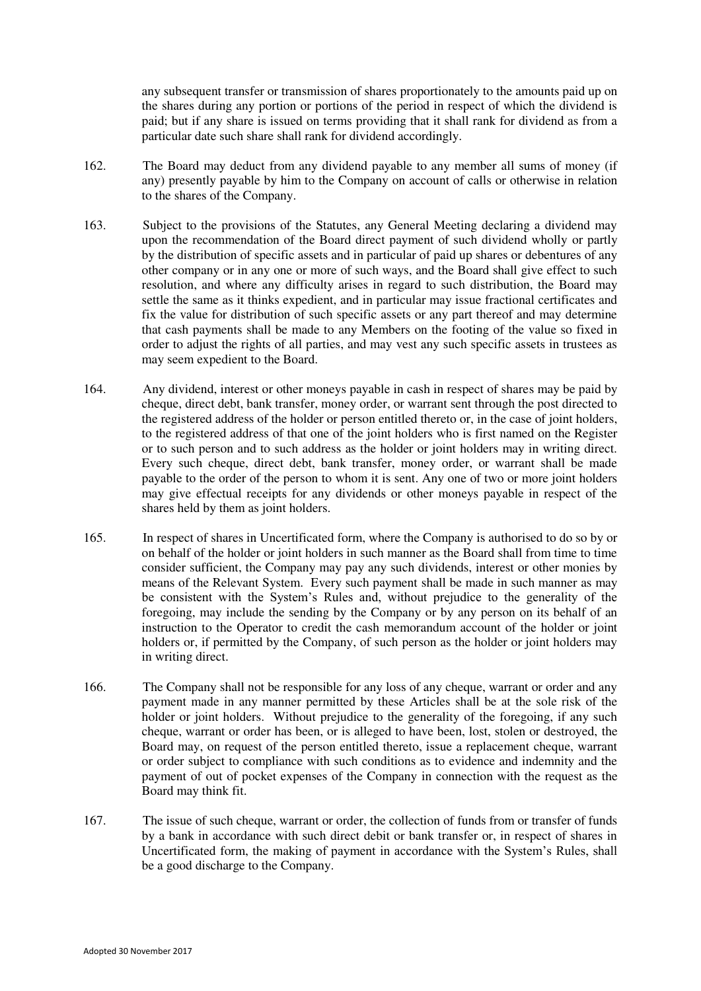any subsequent transfer or transmission of shares proportionately to the amounts paid up on the shares during any portion or portions of the period in respect of which the dividend is paid; but if any share is issued on terms providing that it shall rank for dividend as from a particular date such share shall rank for dividend accordingly.

- 162. The Board may deduct from any dividend payable to any member all sums of money (if any) presently payable by him to the Company on account of calls or otherwise in relation to the shares of the Company.
- 163. Subject to the provisions of the Statutes, any General Meeting declaring a dividend may upon the recommendation of the Board direct payment of such dividend wholly or partly by the distribution of specific assets and in particular of paid up shares or debentures of any other company or in any one or more of such ways, and the Board shall give effect to such resolution, and where any difficulty arises in regard to such distribution, the Board may settle the same as it thinks expedient, and in particular may issue fractional certificates and fix the value for distribution of such specific assets or any part thereof and may determine that cash payments shall be made to any Members on the footing of the value so fixed in order to adjust the rights of all parties, and may vest any such specific assets in trustees as may seem expedient to the Board.
- 164. Any dividend, interest or other moneys payable in cash in respect of shares may be paid by cheque, direct debt, bank transfer, money order, or warrant sent through the post directed to the registered address of the holder or person entitled thereto or, in the case of joint holders, to the registered address of that one of the joint holders who is first named on the Register or to such person and to such address as the holder or joint holders may in writing direct. Every such cheque, direct debt, bank transfer, money order, or warrant shall be made payable to the order of the person to whom it is sent. Any one of two or more joint holders may give effectual receipts for any dividends or other moneys payable in respect of the shares held by them as joint holders.
- 165. In respect of shares in Uncertificated form, where the Company is authorised to do so by or on behalf of the holder or joint holders in such manner as the Board shall from time to time consider sufficient, the Company may pay any such dividends, interest or other monies by means of the Relevant System. Every such payment shall be made in such manner as may be consistent with the System's Rules and, without prejudice to the generality of the foregoing, may include the sending by the Company or by any person on its behalf of an instruction to the Operator to credit the cash memorandum account of the holder or joint holders or, if permitted by the Company, of such person as the holder or joint holders may in writing direct.
- 166. The Company shall not be responsible for any loss of any cheque, warrant or order and any payment made in any manner permitted by these Articles shall be at the sole risk of the holder or joint holders. Without prejudice to the generality of the foregoing, if any such cheque, warrant or order has been, or is alleged to have been, lost, stolen or destroyed, the Board may, on request of the person entitled thereto, issue a replacement cheque, warrant or order subject to compliance with such conditions as to evidence and indemnity and the payment of out of pocket expenses of the Company in connection with the request as the Board may think fit.
- 167. The issue of such cheque, warrant or order, the collection of funds from or transfer of funds by a bank in accordance with such direct debit or bank transfer or, in respect of shares in Uncertificated form, the making of payment in accordance with the System's Rules, shall be a good discharge to the Company.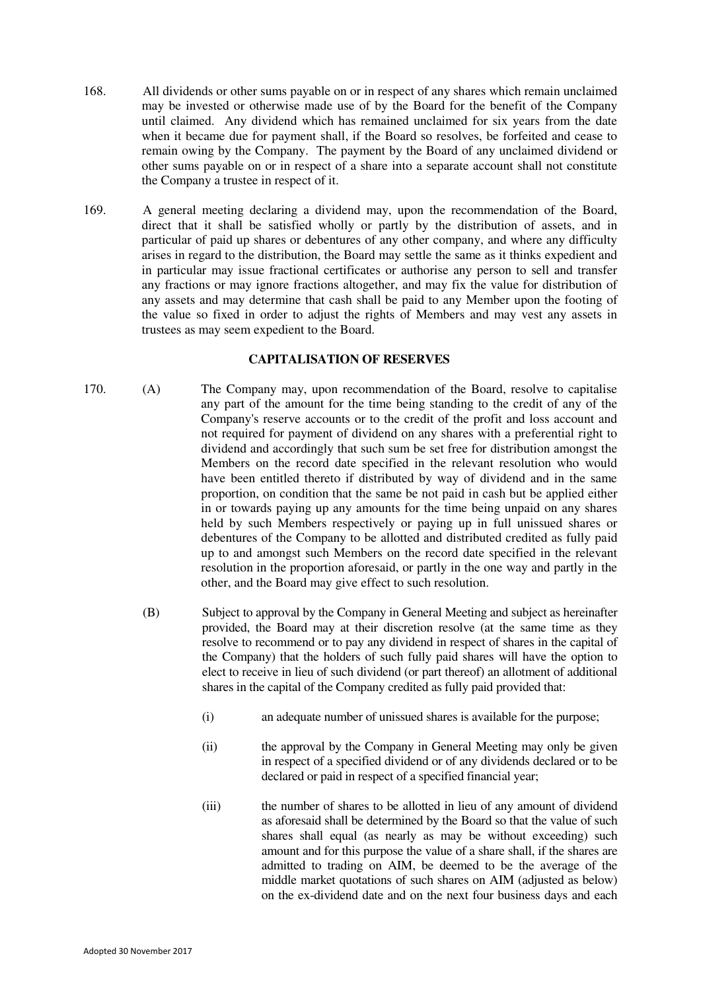- 168. All dividends or other sums payable on or in respect of any shares which remain unclaimed may be invested or otherwise made use of by the Board for the benefit of the Company until claimed. Any dividend which has remained unclaimed for six years from the date when it became due for payment shall, if the Board so resolves, be forfeited and cease to remain owing by the Company. The payment by the Board of any unclaimed dividend or other sums payable on or in respect of a share into a separate account shall not constitute the Company a trustee in respect of it.
- 169. A general meeting declaring a dividend may, upon the recommendation of the Board, direct that it shall be satisfied wholly or partly by the distribution of assets, and in particular of paid up shares or debentures of any other company, and where any difficulty arises in regard to the distribution, the Board may settle the same as it thinks expedient and in particular may issue fractional certificates or authorise any person to sell and transfer any fractions or may ignore fractions altogether, and may fix the value for distribution of any assets and may determine that cash shall be paid to any Member upon the footing of the value so fixed in order to adjust the rights of Members and may vest any assets in trustees as may seem expedient to the Board.

#### **CAPITALISATION OF RESERVES**

- <span id="page-34-0"></span>170. (A) The Company may, upon recommendation of the Board, resolve to capitalise any part of the amount for the time being standing to the credit of any of the Company's reserve accounts or to the credit of the profit and loss account and not required for payment of dividend on any shares with a preferential right to dividend and accordingly that such sum be set free for distribution amongst the Members on the record date specified in the relevant resolution who would have been entitled thereto if distributed by way of dividend and in the same proportion, on condition that the same be not paid in cash but be applied either in or towards paying up any amounts for the time being unpaid on any shares held by such Members respectively or paying up in full unissued shares or debentures of the Company to be allotted and distributed credited as fully paid up to and amongst such Members on the record date specified in the relevant resolution in the proportion aforesaid, or partly in the one way and partly in the other, and the Board may give effect to such resolution.
	- (B) Subject to approval by the Company in General Meeting and subject as hereinafter provided, the Board may at their discretion resolve (at the same time as they resolve to recommend or to pay any dividend in respect of shares in the capital of the Company) that the holders of such fully paid shares will have the option to elect to receive in lieu of such dividend (or part thereof) an allotment of additional shares in the capital of the Company credited as fully paid provided that:
		- (i) an adequate number of unissued shares is available for the purpose;
		- (ii) the approval by the Company in General Meeting may only be given in respect of a specified dividend or of any dividends declared or to be declared or paid in respect of a specified financial year;
		- (iii) the number of shares to be allotted in lieu of any amount of dividend as aforesaid shall be determined by the Board so that the value of such shares shall equal (as nearly as may be without exceeding) such amount and for this purpose the value of a share shall, if the shares are admitted to trading on AIM, be deemed to be the average of the middle market quotations of such shares on AIM (adjusted as below) on the ex-dividend date and on the next four business days and each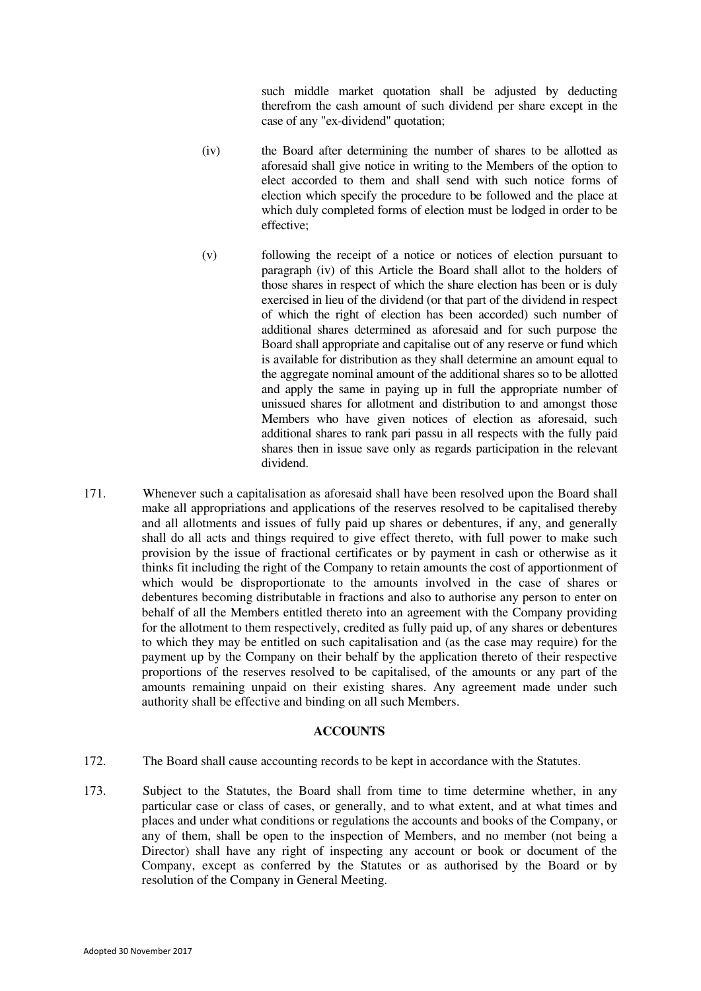such middle market quotation shall be adjusted by deducting therefrom the cash amount of such dividend per share except in the case of any "ex-dividend" quotation;

- (iv) the Board after determining the number of shares to be allotted as aforesaid shall give notice in writing to the Members of the option to elect accorded to them and shall send with such notice forms of election which specify the procedure to be followed and the place at which duly completed forms of election must be lodged in order to be effective;
- (v) following the receipt of a notice or notices of election pursuant to paragraph (iv) of this Article the Board shall allot to the holders of those shares in respect of which the share election has been or is duly exercised in lieu of the dividend (or that part of the dividend in respect of which the right of election has been accorded) such number of additional shares determined as aforesaid and for such purpose the Board shall appropriate and capitalise out of any reserve or fund which is available for distribution as they shall determine an amount equal to the aggregate nominal amount of the additional shares so to be allotted and apply the same in paying up in full the appropriate number of unissued shares for allotment and distribution to and amongst those Members who have given notices of election as aforesaid, such additional shares to rank pari passu in all respects with the fully paid shares then in issue save only as regards participation in the relevant dividend.
- <span id="page-35-0"></span>171. Whenever such a capitalisation as aforesaid shall have been resolved upon the Board shall make all appropriations and applications of the reserves resolved to be capitalised thereby and all allotments and issues of fully paid up shares or debentures, if any, and generally shall do all acts and things required to give effect thereto, with full power to make such provision by the issue of fractional certificates or by payment in cash or otherwise as it thinks fit including the right of the Company to retain amounts the cost of apportionment of which would be disproportionate to the amounts involved in the case of shares or debentures becoming distributable in fractions and also to authorise any person to enter on behalf of all the Members entitled thereto into an agreement with the Company providing for the allotment to them respectively, credited as fully paid up, of any shares or debentures to which they may be entitled on such capitalisation and (as the case may require) for the payment up by the Company on their behalf by the application thereto of their respective proportions of the reserves resolved to be capitalised, of the amounts or any part of the amounts remaining unpaid on their existing shares. Any agreement made under such authority shall be effective and binding on all such Members.

### **ACCOUNTS**

- <span id="page-35-1"></span>172. The Board shall cause accounting records to be kept in accordance with the Statutes.
- 173. Subject to the Statutes, the Board shall from time to time determine whether, in any particular case or class of cases, or generally, and to what extent, and at what times and places and under what conditions or regulations the accounts and books of the Company, or any of them, shall be open to the inspection of Members, and no member (not being a Director) shall have any right of inspecting any account or book or document of the Company, except as conferred by the Statutes or as authorised by the Board or by resolution of the Company in General Meeting.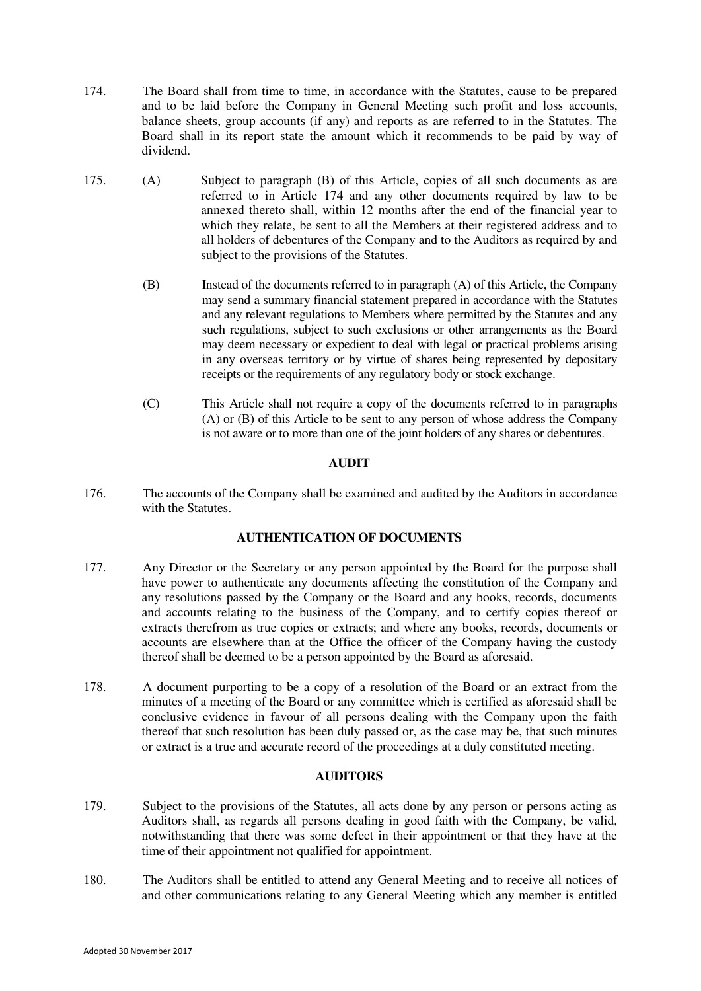- <span id="page-36-0"></span>174. The Board shall from time to time, in accordance with the Statutes, cause to be prepared and to be laid before the Company in General Meeting such profit and loss accounts, balance sheets, group accounts (if any) and reports as are referred to in the Statutes. The Board shall in its report state the amount which it recommends to be paid by way of dividend.
- 175. (A) Subject to paragraph (B) of this Article, copies of all such documents as are referred to in Article [174](#page-36-0) and any other documents required by law to be annexed thereto shall, within 12 months after the end of the financial year to which they relate, be sent to all the Members at their registered address and to all holders of debentures of the Company and to the Auditors as required by and subject to the provisions of the Statutes.
	- (B) Instead of the documents referred to in paragraph (A) of this Article, the Company may send a summary financial statement prepared in accordance with the Statutes and any relevant regulations to Members where permitted by the Statutes and any such regulations, subject to such exclusions or other arrangements as the Board may deem necessary or expedient to deal with legal or practical problems arising in any overseas territory or by virtue of shares being represented by depositary receipts or the requirements of any regulatory body or stock exchange.
	- (C) This Article shall not require a copy of the documents referred to in paragraphs (A) or (B) of this Article to be sent to any person of whose address the Company is not aware or to more than one of the joint holders of any shares or debentures.

# **AUDIT**

<span id="page-36-1"></span>176. The accounts of the Company shall be examined and audited by the Auditors in accordance with the Statutes.

# **AUTHENTICATION OF DOCUMENTS**

- <span id="page-36-2"></span>177. Any Director or the Secretary or any person appointed by the Board for the purpose shall have power to authenticate any documents affecting the constitution of the Company and any resolutions passed by the Company or the Board and any books, records, documents and accounts relating to the business of the Company, and to certify copies thereof or extracts therefrom as true copies or extracts; and where any books, records, documents or accounts are elsewhere than at the Office the officer of the Company having the custody thereof shall be deemed to be a person appointed by the Board as aforesaid.
- 178. A document purporting to be a copy of a resolution of the Board or an extract from the minutes of a meeting of the Board or any committee which is certified as aforesaid shall be conclusive evidence in favour of all persons dealing with the Company upon the faith thereof that such resolution has been duly passed or, as the case may be, that such minutes or extract is a true and accurate record of the proceedings at a duly constituted meeting.

## **AUDITORS**

- <span id="page-36-3"></span>179. Subject to the provisions of the Statutes, all acts done by any person or persons acting as Auditors shall, as regards all persons dealing in good faith with the Company, be valid, notwithstanding that there was some defect in their appointment or that they have at the time of their appointment not qualified for appointment.
- <span id="page-36-4"></span>180. The Auditors shall be entitled to attend any General Meeting and to receive all notices of and other communications relating to any General Meeting which any member is entitled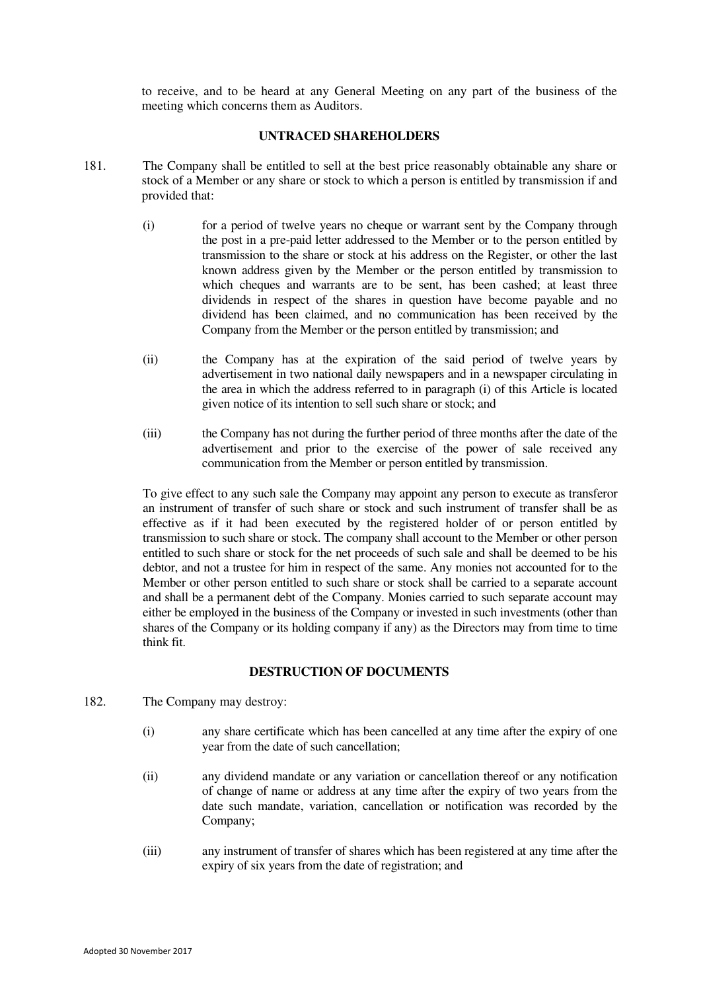to receive, and to be heard at any General Meeting on any part of the business of the meeting which concerns them as Auditors.

### **UNTRACED SHAREHOLDERS**

- <span id="page-37-0"></span>181. The Company shall be entitled to sell at the best price reasonably obtainable any share or stock of a Member or any share or stock to which a person is entitled by transmission if and provided that:
	- (i) for a period of twelve years no cheque or warrant sent by the Company through the post in a pre-paid letter addressed to the Member or to the person entitled by transmission to the share or stock at his address on the Register, or other the last known address given by the Member or the person entitled by transmission to which cheques and warrants are to be sent, has been cashed; at least three dividends in respect of the shares in question have become payable and no dividend has been claimed, and no communication has been received by the Company from the Member or the person entitled by transmission; and
	- (ii) the Company has at the expiration of the said period of twelve years by advertisement in two national daily newspapers and in a newspaper circulating in the area in which the address referred to in paragraph (i) of this Article is located given notice of its intention to sell such share or stock; and
	- (iii) the Company has not during the further period of three months after the date of the advertisement and prior to the exercise of the power of sale received any communication from the Member or person entitled by transmission.

 To give effect to any such sale the Company may appoint any person to execute as transferor an instrument of transfer of such share or stock and such instrument of transfer shall be as effective as if it had been executed by the registered holder of or person entitled by transmission to such share or stock. The company shall account to the Member or other person entitled to such share or stock for the net proceeds of such sale and shall be deemed to be his debtor, and not a trustee for him in respect of the same. Any monies not accounted for to the Member or other person entitled to such share or stock shall be carried to a separate account and shall be a permanent debt of the Company. Monies carried to such separate account may either be employed in the business of the Company or invested in such investments (other than shares of the Company or its holding company if any) as the Directors may from time to time think fit.

## **DESTRUCTION OF DOCUMENTS**

- <span id="page-37-1"></span>182. The Company may destroy:
	- (i) any share certificate which has been cancelled at any time after the expiry of one year from the date of such cancellation;
	- (ii) any dividend mandate or any variation or cancellation thereof or any notification of change of name or address at any time after the expiry of two years from the date such mandate, variation, cancellation or notification was recorded by the Company;
	- (iii) any instrument of transfer of shares which has been registered at any time after the expiry of six years from the date of registration; and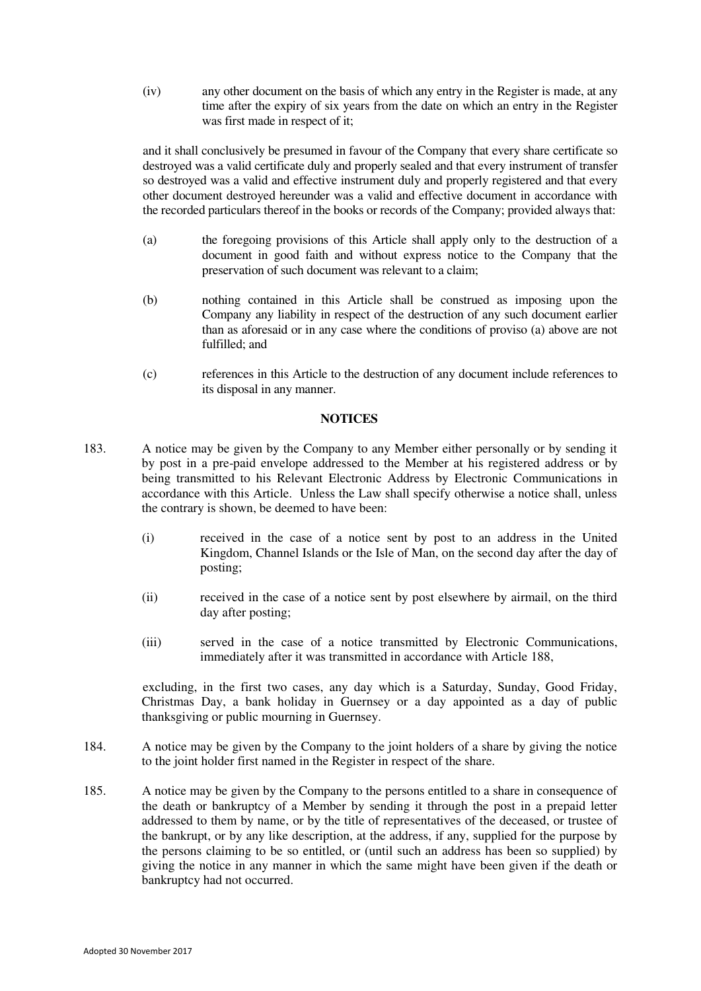(iv) any other document on the basis of which any entry in the Register is made, at any time after the expiry of six years from the date on which an entry in the Register was first made in respect of it;

 and it shall conclusively be presumed in favour of the Company that every share certificate so destroyed was a valid certificate duly and properly sealed and that every instrument of transfer so destroyed was a valid and effective instrument duly and properly registered and that every other document destroyed hereunder was a valid and effective document in accordance with the recorded particulars thereof in the books or records of the Company; provided always that:

- (a) the foregoing provisions of this Article shall apply only to the destruction of a document in good faith and without express notice to the Company that the preservation of such document was relevant to a claim;
- (b) nothing contained in this Article shall be construed as imposing upon the Company any liability in respect of the destruction of any such document earlier than as aforesaid or in any case where the conditions of proviso (a) above are not fulfilled; and
- (c) references in this Article to the destruction of any document include references to its disposal in any manner.

#### **NOTICES**

- 183. A notice may be given by the Company to any Member either personally or by sending it by post in a pre-paid envelope addressed to the Member at his registered address or by being transmitted to his Relevant Electronic Address by Electronic Communications in accordance with this Article. Unless the Law shall specify otherwise a notice shall, unless the contrary is shown, be deemed to have been:
	- (i) received in the case of a notice sent by post to an address in the United Kingdom, Channel Islands or the Isle of Man, on the second day after the day of posting;
	- (ii) received in the case of a notice sent by post elsewhere by airmail, on the third day after posting;
	- (iii) served in the case of a notice transmitted by Electronic Communications, immediately after it was transmitted in accordance with Article [188,](#page-39-0)

 excluding, in the first two cases, any day which is a Saturday, Sunday, Good Friday, Christmas Day, a bank holiday in Guernsey or a day appointed as a day of public thanksgiving or public mourning in Guernsey.

- 184. A notice may be given by the Company to the joint holders of a share by giving the notice to the joint holder first named in the Register in respect of the share.
- 185. A notice may be given by the Company to the persons entitled to a share in consequence of the death or bankruptcy of a Member by sending it through the post in a prepaid letter addressed to them by name, or by the title of representatives of the deceased, or trustee of the bankrupt, or by any like description, at the address, if any, supplied for the purpose by the persons claiming to be so entitled, or (until such an address has been so supplied) by giving the notice in any manner in which the same might have been given if the death or bankruptcy had not occurred.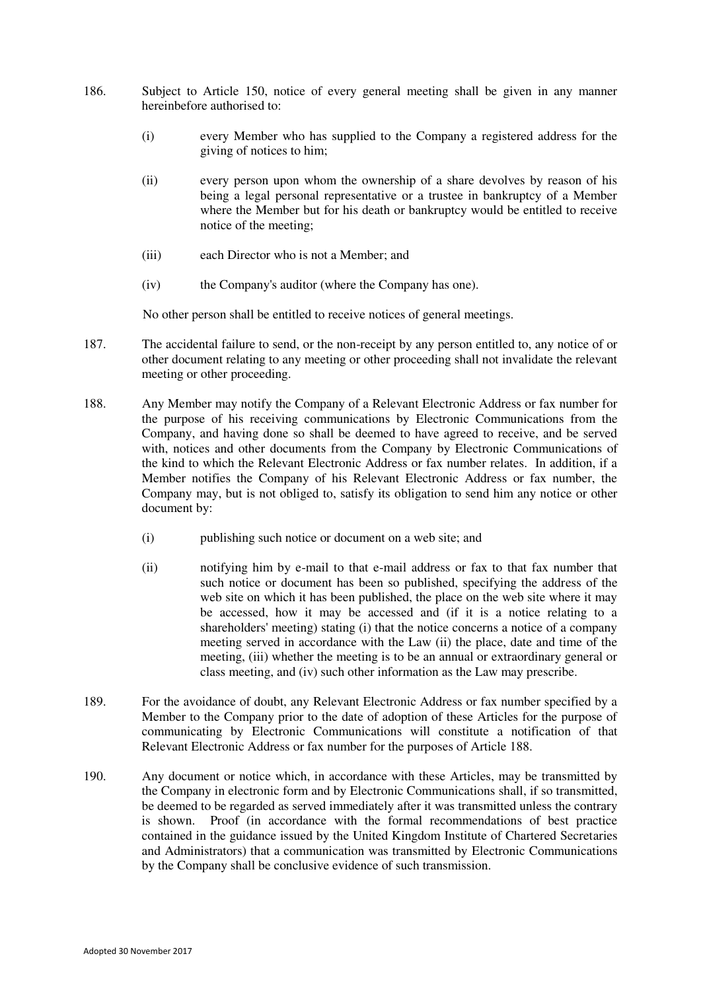- 186. Subject to Article [150,](#page-31-1) notice of every general meeting shall be given in any manner hereinbefore authorised to:
	- (i) every Member who has supplied to the Company a registered address for the giving of notices to him;
	- (ii) every person upon whom the ownership of a share devolves by reason of his being a legal personal representative or a trustee in bankruptcy of a Member where the Member but for his death or bankruptcy would be entitled to receive notice of the meeting;
	- (iii) each Director who is not a Member; and
	- (iv) the Company's auditor (where the Company has one).

No other person shall be entitled to receive notices of general meetings.

- 187. The accidental failure to send, or the non-receipt by any person entitled to, any notice of or other document relating to any meeting or other proceeding shall not invalidate the relevant meeting or other proceeding.
- <span id="page-39-0"></span>188. Any Member may notify the Company of a Relevant Electronic Address or fax number for the purpose of his receiving communications by Electronic Communications from the Company, and having done so shall be deemed to have agreed to receive, and be served with, notices and other documents from the Company by Electronic Communications of the kind to which the Relevant Electronic Address or fax number relates. In addition, if a Member notifies the Company of his Relevant Electronic Address or fax number, the Company may, but is not obliged to, satisfy its obligation to send him any notice or other document by:
	- (i) publishing such notice or document on a web site; and
	- (ii) notifying him by e-mail to that e-mail address or fax to that fax number that such notice or document has been so published, specifying the address of the web site on which it has been published, the place on the web site where it may be accessed, how it may be accessed and (if it is a notice relating to a shareholders' meeting) stating (i) that the notice concerns a notice of a company meeting served in accordance with the Law (ii) the place, date and time of the meeting, (iii) whether the meeting is to be an annual or extraordinary general or class meeting, and (iv) such other information as the Law may prescribe.
- 189. For the avoidance of doubt, any Relevant Electronic Address or fax number specified by a Member to the Company prior to the date of adoption of these Articles for the purpose of communicating by Electronic Communications will constitute a notification of that Relevant Electronic Address or fax number for the purposes of Article [188.](#page-39-0)
- 190. Any document or notice which, in accordance with these Articles, may be transmitted by the Company in electronic form and by Electronic Communications shall, if so transmitted, be deemed to be regarded as served immediately after it was transmitted unless the contrary is shown. Proof (in accordance with the formal recommendations of best practice contained in the guidance issued by the United Kingdom Institute of Chartered Secretaries and Administrators) that a communication was transmitted by Electronic Communications by the Company shall be conclusive evidence of such transmission.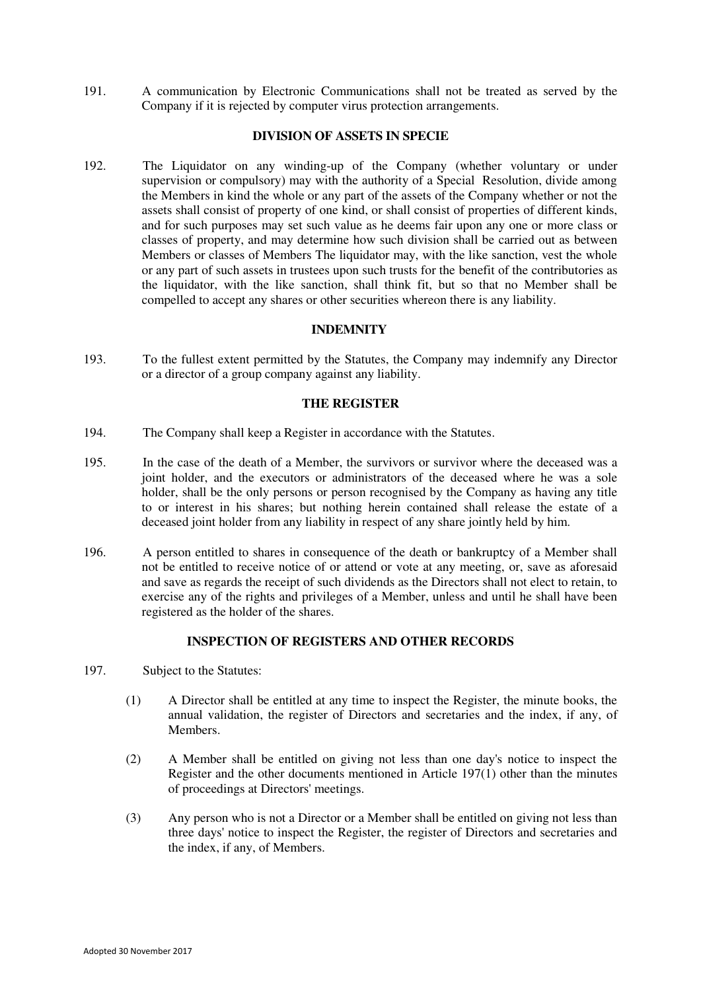191. A communication by Electronic Communications shall not be treated as served by the Company if it is rejected by computer virus protection arrangements.

# **DIVISION OF ASSETS IN SPECIE**

<span id="page-40-1"></span>192. The Liquidator on any winding-up of the Company (whether voluntary or under supervision or compulsory) may with the authority of a Special Resolution, divide among the Members in kind the whole or any part of the assets of the Company whether or not the assets shall consist of property of one kind, or shall consist of properties of different kinds, and for such purposes may set such value as he deems fair upon any one or more class or classes of property, and may determine how such division shall be carried out as between Members or classes of Members The liquidator may, with the like sanction, vest the whole or any part of such assets in trustees upon such trusts for the benefit of the contributories as the liquidator, with the like sanction, shall think fit, but so that no Member shall be compelled to accept any shares or other securities whereon there is any liability.

#### **INDEMNITY**

193. To the fullest extent permitted by the Statutes, the Company may indemnify any Director or a director of a group company against any liability.

#### **THE REGISTER**

- <span id="page-40-2"></span>194. The Company shall keep a Register in accordance with the Statutes.
- 195. In the case of the death of a Member, the survivors or survivor where the deceased was a joint holder, and the executors or administrators of the deceased where he was a sole holder, shall be the only persons or person recognised by the Company as having any title to or interest in his shares; but nothing herein contained shall release the estate of a deceased joint holder from any liability in respect of any share jointly held by him.
- 196. A person entitled to shares in consequence of the death or bankruptcy of a Member shall not be entitled to receive notice of or attend or vote at any meeting, or, save as aforesaid and save as regards the receipt of such dividends as the Directors shall not elect to retain, to exercise any of the rights and privileges of a Member, unless and until he shall have been registered as the holder of the shares.

## **INSPECTION OF REGISTERS AND OTHER RECORDS**

- <span id="page-40-0"></span>197. Subject to the Statutes:
	- (1) A Director shall be entitled at any time to inspect the Register, the minute books, the annual validation, the register of Directors and secretaries and the index, if any, of **Members**
	- (2) A Member shall be entitled on giving not less than one day's notice to inspect the Register and the other documents mentioned in Article [197\(](#page-40-0)1) other than the minutes of proceedings at Directors' meetings.
	- (3) Any person who is not a Director or a Member shall be entitled on giving not less than three days' notice to inspect the Register, the register of Directors and secretaries and the index, if any, of Members.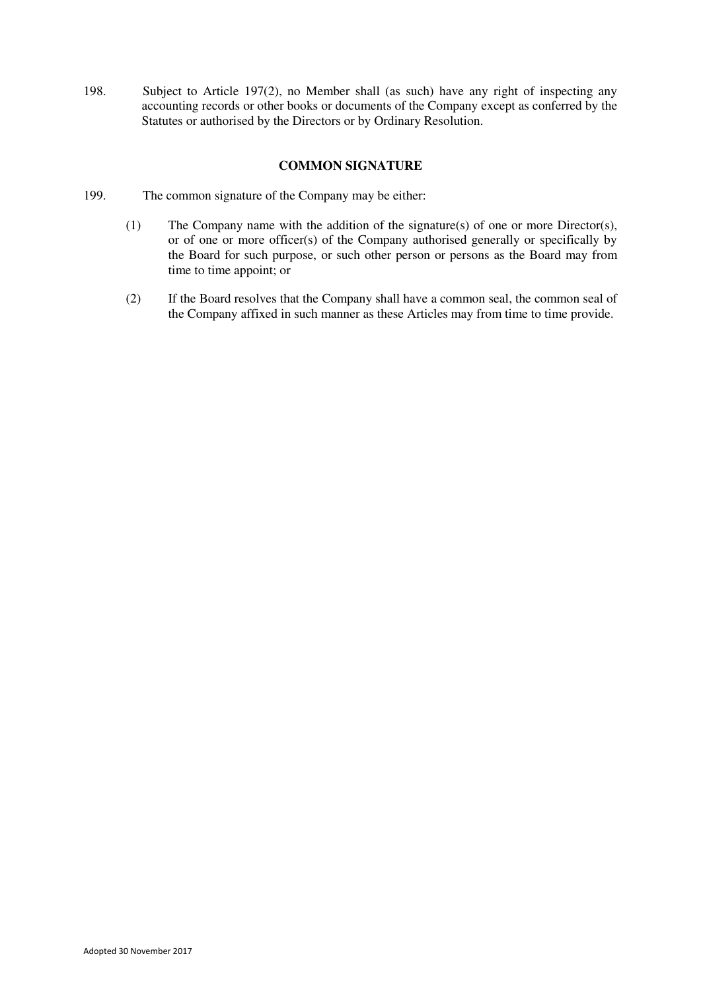<span id="page-41-0"></span>198. Subject to Article [197\(](#page-40-0)2), no Member shall (as such) have any right of inspecting any accounting records or other books or documents of the Company except as conferred by the Statutes or authorised by the Directors or by Ordinary Resolution.

# **COMMON SIGNATURE**

- 199. The common signature of the Company may be either:
	- (1) The Company name with the addition of the signature(s) of one or more Director(s), or of one or more officer(s) of the Company authorised generally or specifically by the Board for such purpose, or such other person or persons as the Board may from time to time appoint; or
	- (2) If the Board resolves that the Company shall have a common seal, the common seal of the Company affixed in such manner as these Articles may from time to time provide.